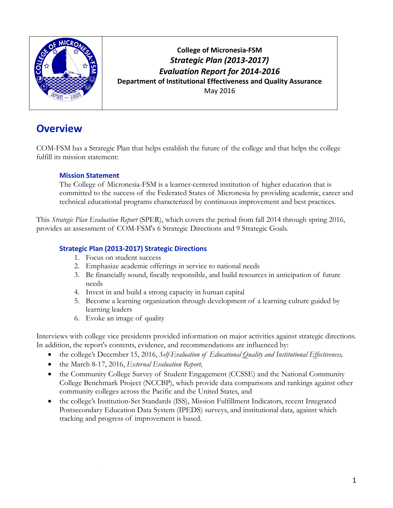

**College of Micronesia-FSM** *Strategic Plan (2013-2017) Evaluation Report for 2014-2016* **Department of Institutional Effectiveness and Quality Assurance** May 2016

# **Overview**

COM-FSM has a Strategic Plan that helps establish the future of the college and that helps the college fulfill its mission statement:

#### **Mission Statement**

The College of Micronesia-FSM is a learner-centered institution of higher education that is committed to the success of the Federated States of Micronesia by providing academic, career and technical educational programs characterized by continuous improvement and best practices.

This *Strategic Plan Evaluation Report* (SPER), which covers the period from fall 2014 through spring 2016, provides an assessment of COM-FSM's 6 Strategic Directions and 9 Strategic Goals.

#### **Strategic Plan (2013-2017) Strategic Directions**

- 1. Focus on student success
- 2. Emphasize academic offerings in service to national needs
- 3. Be financially sound, fiscally responsible, and build resources in anticipation of future needs
- 4. Invest in and build a strong capacity in human capital
- 5. Become a learning organization through development of a learning culture guided by learning leaders
- 6. Evoke an image of quality

Interviews with college vice presidents provided information on major activities against strategic directions. In addition, the report's contents, evidence, and recommendations are influenced by:

- the college's December 15, 2016, *Self-Evaluation of Educational Quality and Institutional Effectiveness,*
- the March 8-17, 2016, *External Evaluation Report,*
- the Community College Survey of Student Engagement (CCSSE) and the National Community College Benchmark Project (NCCBP), which provide data comparisons and rankings against other community colleges across the Pacific and the United States, and
- the college's Institution-Set Standards (ISS), Mission Fulfillment Indicators, recent Integrated Postsecondary Education Data System (IPEDS) surveys, and institutional data, against which tracking and progress of improvement is based.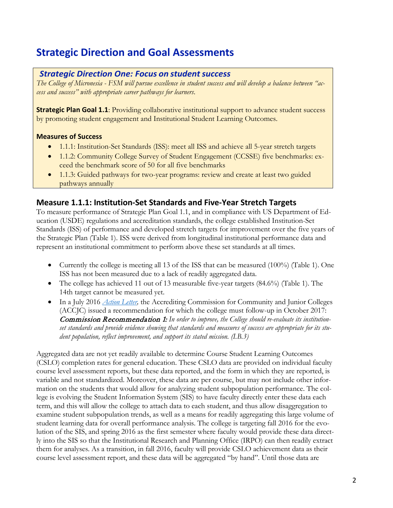# **Strategic Direction and Goal Assessments**

#### **Strategic Direction One: Focus on student success**

*The College of Micronesia - FSM will pursue excellence in student success and will develop a balance between "access and success" with appropriate career pathways for learners*.

**Strategic Plan Goal 1.1:** Providing collaborative institutional support to advance student success by promoting student engagement and Institutional Student Learning Outcomes.

#### **Measures of Success**

- 1.1.1: Institution-Set Standards (ISS): meet all ISS and achieve all 5-year stretch targets
- 1.1.2: Community College Survey of Student Engagement (CCSSE) five benchmarks: exceed the benchmark score of 50 for all five benchmarks
- 1.1.3: Guided pathways for two-year programs: review and create at least two guided pathways annually

### **Measure 1.1.1: Institution-Set Standards and Five-Year Stretch Targets**

To measure performance of Strategic Plan Goal 1.1, and in compliance with US Department of Education (USDE) regulations and accreditation standards, the college established Institution-Set Standards (ISS) of performance and developed stretch targets for improvement over the five years of the Strategic Plan (Table 1). ISS were derived from longitudinal institutional performance data and represent an institutional commitment to perform above these set standards at all times.

- Currently the college is meeting all 13 of the ISS that can be measured  $(100\%)$  (Table 1). One ISS has not been measured due to a lack of readily aggregated data.
- The college has achieved 11 out of 13 measurable five-year targets (84.6%) (Table 1). The 14th target cannot be measured yet.
- In a July 2016 *Action Letter*, the Accrediting Commission for Community and Junior Colleges (ACCJC) issued a recommendation for which the college must follow-up in October 2017: Commission Recommendation 1: *In order to improve, the College should re-evaluate its institutionset standards and provide evidence showing that standards and measures of success are appropriate for its student population, reflect improvement, and support its stated mission. (I.B.3)*

Aggregated data are not yet readily available to determine Course Student Learning Outcomes (CSLO) completion rates for general education. These CSLO data are provided on individual faculty course level assessment reports, but these data reported, and the form in which they are reported, is variable and not standardized. Moreover, these data are per course, but may not include other information on the students that would allow for analyzing student subpopulation performance. The college is evolving the Student Information System (SIS) to have faculty directly enter these data each term, and this will allow the college to attach data to each student, and thus allow disaggregation to examine student subpopulation trends, as well as a means for readily aggregating this large volume of student learning data for overall performance analysis. The college is targeting fall 2016 for the evolution of the SIS, and spring 2016 as the first semester where faculty would provide these data directly into the SIS so that the Institutional Research and Planning Office (IRPO) can then readily extract them for analyses. As a transition, in fall 2016, faculty will provide CSLO achievement data as their course level assessment report, and these data will be aggregated "by hand". Until those data are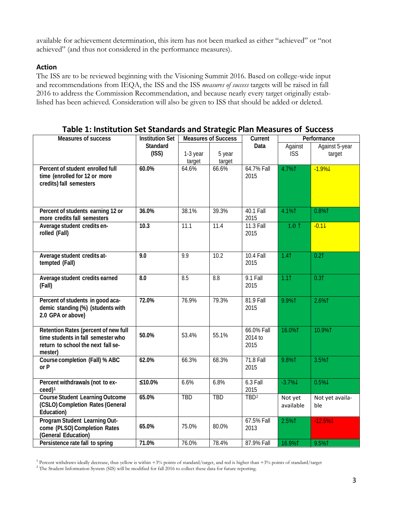available for achievement determination, this item has not been marked as either "achieved" or "not achieved" (and thus not considered in the performance measures).

#### **Action**

The ISS are to be reviewed beginning with the Visioning Summit 2016. Based on college-wide input and recommendations from IEQA, the ISS and the ISS *measures of success* targets will be raised in fall 2016 to address the Commission Recommendation, and because nearly every target originally established has been achieved. Consideration will also be given to ISS that should be added or deleted.

| <b>Measures of success</b>                                                                                                  | <b>Measures of Success</b><br><b>Institution Set</b> |                    | Current          | Performance                   |                       |                          |  |
|-----------------------------------------------------------------------------------------------------------------------------|------------------------------------------------------|--------------------|------------------|-------------------------------|-----------------------|--------------------------|--|
|                                                                                                                             | Standard<br>(ISS)                                    | 1-3 year<br>target | 5 year<br>target | Data                          | Against<br><b>ISS</b> | Against 5-year<br>target |  |
| Percent of student enrolled full<br>time (enrolled for 12 or more<br>credits) fall semesters                                | 60.0%                                                | 64.6%              | 66.6%            | 64.7% Fall<br>2015            | 4.7%1                 | $-1.9\%$                 |  |
| Percent of students earning 12 or<br>more credits fall semesters                                                            | 36.0%                                                | 38.1%              | 39.3%            | 40.1 Fall<br>2015             | 4.1%1                 | 0.8%1                    |  |
| Average student credits en-<br>rolled (Fall)                                                                                | 10.3                                                 | 11.1               | 11.4             | 11.3 Fall<br>2015             | $1.0$ ↑               | $-0.11$                  |  |
| Average student credits at-<br>tempted (Fall)                                                                               | 9.0                                                  | 9.9                | 10.2             | <b>10.4 Fall</b><br>2015      | 1.41                  | 0.21                     |  |
| Average student credits earned<br>(Fall)                                                                                    | 8.0                                                  | 8.5                | 8.8              | $9.1$ Fall<br>2015            | 1.11                  | 0.31                     |  |
| Percent of students in good aca-<br>demic standing (%) (students with<br>2.0 GPA or above)                                  | 72.0%                                                | 76.9%              | 79.3%            | 81.9 Fall<br>2015             | 9.9%1                 | 2.6%1                    |  |
| Retention Rates (percent of new full<br>time students in fall semester who<br>return to school the next fall se-<br>mester) | 50.0%                                                | 53.4%              | 55.1%            | 66.0% Fall<br>2014 to<br>2015 | 16.0%1                | 10.9%1                   |  |
| Course completion (Fall) % ABC<br>or P                                                                                      | 62.0%                                                | 66.3%              | 68.3%            | <b>71.8 Fall</b><br>2015      | 9.8%1                 | 3.5%1                    |  |
| Percent withdrawals (not to ex-<br>ceed) <sup>1</sup>                                                                       | $≤10.0%$                                             | 6.6%               | 6.8%             | 6.3 Fall<br>2015              | $-3.7\%$              | $0.5\%$                  |  |
| <b>Course Student Learning Outcome</b><br>(CSLO) Completion Rates (General<br>Education)                                    | 65.0%                                                | <b>TBD</b>         | <b>TBD</b>       | TBD <sup>2</sup>              | Not yet<br>available  | Not yet availa-<br>ble   |  |
| Program Student Learning Out-<br>come (PLSO) Completion Rates<br>(General Education)                                        | 65.0%                                                | 75.0%              | 80.0%            | 67.5% Fall<br>2013            | 2.5%1                 | $-12.5\%$                |  |
| Persistence rate fall to spring                                                                                             | 71.0%                                                | 76.0%              | 78.4%            | 87.9% Fall                    | 16.9%1                | 9.5%1                    |  |

#### **Table 1: Institution Set Standards and Strategic Plan Measures of Success**

<span id="page-2-0"></span><sup>1</sup> Percent withdraws ideally decrease, thus yellow is within +3% points of standard/target, and red is higher than +3% points of standard/target

<span id="page-2-1"></span><sup>&</sup>lt;sup>2</sup> The Student Information System (SIS) will be modified for fall 2016 to collect these data for future reporting.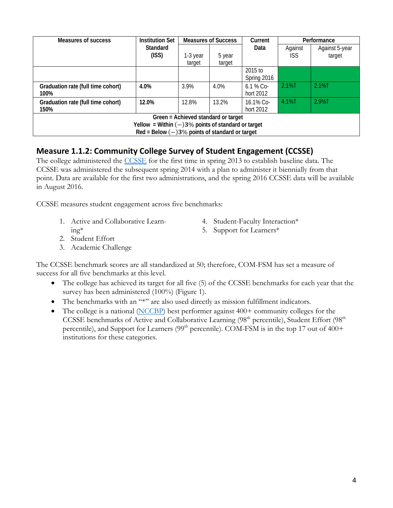| Measures of success                                   | <b>Institution Set</b>                            |          | <b>Measures of Success</b> | Current     | Performance |                |  |  |
|-------------------------------------------------------|---------------------------------------------------|----------|----------------------------|-------------|-------------|----------------|--|--|
|                                                       | <b>Standard</b>                                   |          |                            | Data        | Against     | Against 5-year |  |  |
|                                                       | (ISS)                                             | 1-3 year | 5 year                     |             | ISS.        | target         |  |  |
|                                                       |                                                   | target   | target                     |             |             |                |  |  |
|                                                       |                                                   |          |                            | 2015 to     |             |                |  |  |
|                                                       |                                                   |          |                            | Spring 2016 |             |                |  |  |
| Graduation rate (full time cohort)                    | 4.0%                                              | 3.9%     | 4.0%                       | $6.1%$ Co-  | 2.1%1       | $2.1\%$        |  |  |
| 100%                                                  |                                                   |          |                            | hort 2012   |             |                |  |  |
| Graduation rate (full time cohort)                    | 12.0%                                             | 12.8%    | 13.2%                      | 16.1% Co-   | 4.1%1       | 2.9%1          |  |  |
| 150%                                                  |                                                   |          |                            | hort 2012   |             |                |  |  |
| Green = Achieved standard or target                   |                                                   |          |                            |             |             |                |  |  |
| Yellow = Within $(-)3\%$ points of standard or target |                                                   |          |                            |             |             |                |  |  |
|                                                       | $Red = Below (-)3\%$ points of standard or target |          |                            |             |             |                |  |  |

### **Measure 1.1.2: Community College Survey of Student Engagement (CCSSE)**

The college administered the [CCSSE](http://www.ccsse.org/) for the first time in spring 2013 to establish baseline data. The CCSSE was administered the subsequent spring 2014 with a plan to administer it biennially from that point. Data are available for the first two administrations, and the spring 2016 CCSSE data will be available in August 2016.

CCSSE measures student engagement across five benchmarks:

- 1. Active and Collaborative Learning\*
- 4. Student-Faculty Interaction\*
- 5. Support for Learners\*
- 2. Student Effort
- 3. Academic Challenge

The CCSSE benchmark scores are all standardized at 50; therefore, COM-FSM has set a measure of success for all five benchmarks at this level.

- The college has achieved its target for all five (5) of the CCSSE benchmarks for each year that the survey has been administered (100%) (Figure 1).
- The benchmarks with an "\*" are also used directly as mission fulfillment indicators.
- The college is a national  $(NCCBP)$  best performer against 400+ community colleges for the CCSSE benchmarks of Active and Collaborative Learning (98<sup>th</sup> percentile), Student Effort (98<sup>th</sup>) percentile), and Support for Learners ( $99<sup>th</sup>$  percentile). COM-FSM is in the top 17 out of  $400+$ institutions for these categories.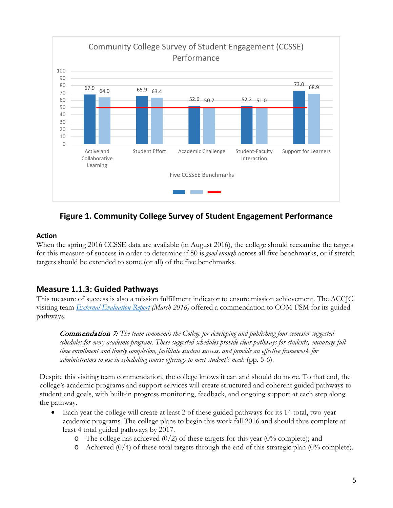

### **Figure 1. Community College Survey of Student Engagement Performance**

#### **Action**

When the spring 2016 CCSSE data are available (in August 2016), the college should reexamine the targets for this measure of success in order to determine if 50 is *good enough* across all five benchmarks, or if stretch targets should be extended to some (or all) of the five benchmarks.

### **Measure 1.1.3: Guided Pathways**

This measure of success is also a mission fulfillment indicator to ensure mission achievement. The ACCJC visiting team *[External Evaluation Report](http://www.comfsm.fm/accreditation/2016/Self_Evaluation/COMFSM_External_Eval_Report_2016.pdf) (March 2016)* offered a commendation to COM-FSM for its guided pathways.

Commendation 7: *The team commends the College for developing and publishing four-semester suggested schedules for every academic program. These suggested schedules provide clear pathways for students, encourage full time enrollment and timely completion, facilitate student success, and provide an effective framework for administrators to use in scheduling course offerings to meet student's needs* (pp. 5-6).

Despite this visiting team commendation, the college knows it can and should do more. To that end, the college's academic programs and support services will create structured and coherent guided pathways to student end goals, with built-in progress monitoring, feedback, and ongoing support at each step along the pathway.

- Each year the college will create at least 2 of these guided pathways for its 14 total, two-year academic programs. The college plans to begin this work fall 2016 and should thus complete at least 4 total guided pathways by 2017.
	- $\circ$  The college has achieved (0/2) of these targets for this year (0% complete); and
	- $\circ$  Achieved (0/4) of these total targets through the end of this strategic plan (0% complete).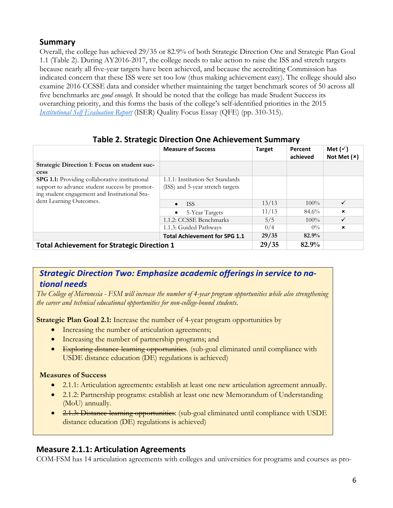### **Summary**

Overall, the college has achieved 29/35 or 82.9% of both Strategic Direction One and Strategic Plan Goal 1.1 (Table 2). During AY2016-2017, the college needs to take action to raise the ISS and stretch targets because nearly all five-year targets have been achieved, and because the accrediting Commission has indicated concern that these ISS were set too low (thus making achievement easy). The college should also examine 2016 CCSSE data and consider whether maintaining the target benchmark scores of 50 across all five benchmarks are *good enough*. It should be noted that the college has made Student Success its overarching priority, and this forms the basis of the college's self-identified priorities in the 2015 *[Institutional Self Evaluation Report](http://www.comfsm.fm/accreditation/2016/Self_Evaluation/COMFSM_SELFEVAL_15DEC2015.pdf)* (ISER) Quality Focus Essay (QFE) (pp. 310-315).

|                                                    | <b>Measure of Success</b>            | <b>Target</b> | Percent<br>achieved | Met $(\checkmark)$<br>Not Met $(x)$ |
|----------------------------------------------------|--------------------------------------|---------------|---------------------|-------------------------------------|
| Strategic Direction 1: Focus on student suc-       |                                      |               |                     |                                     |
| cess                                               |                                      |               |                     |                                     |
| SPG 1.1: Providing collaborative institutional     | 1.1.1: Institution-Set Standards     |               |                     |                                     |
| support to advance student success by promot-      | (ISS) and 5-year stretch targets     |               |                     |                                     |
| ing student engagement and Institutional Stu-      |                                      |               |                     |                                     |
| dent Learning Outcomes.                            | <b>ISS</b><br>$\bullet$              | 13/13         | $100\%$             | $\checkmark$                        |
|                                                    | 5-Year Targets<br>$\bullet$          | 11/13         | 84.6%               | $\mathbf x$                         |
|                                                    | 1.1.2: CCSSE Benchmarks              | 5/5           | $100\%$             | $\checkmark$                        |
|                                                    | 1.1.3: Guided Pathways               | 0/4           | $0\%$               | $\boldsymbol{\mathsf{x}}$           |
|                                                    | <b>Total Achievement for SPG 1.1</b> | 29/35         | 82.9%               |                                     |
| <b>Total Achievement for Strategic Direction 1</b> | 29/35                                | 82.9%         |                     |                                     |

#### **Table 2. Strategic Direction One Achievement Summary**

### *Strategic Direction Two: Emphasize academic offeringsin service to national needs*

*The College of Micronesia - FSM will increase the number of 4-year program opportunities while also strengthening the career and technical educational opportunities for non-college-bound students*.

**Strategic Plan Goal 2.1:** Increase the number of 4-year program opportunities by

- Increasing the number of articulation agreements;
- Increasing the number of partnership programs; and
- Exploring distance-learning opportunities. (sub-goal eliminated until compliance with USDE distance education (DE) regulations is achieved)

#### **Measures of Success**

- 2.1.1: Articulation agreements: establish at least one new articulation agreement annually.
- 2.1.2: Partnership programs: establish at least one new Memorandum of Understanding (MoU) annually.
- 2.1.3: Distance-learning opportunities: (sub-goal eliminated until compliance with USDE distance education (DE) regulations is achieved)

### **Measure 2.1.1: Articulation Agreements**

COM-FSM has 14 articulation agreements with colleges and universities for programs and courses as pro-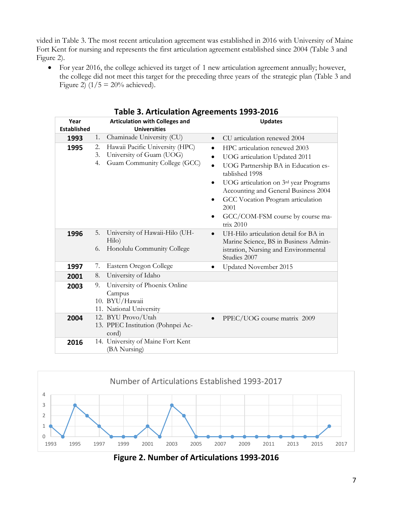vided in Table 3. The most recent articulation agreement was established in 2016 with University of Maine Fort Kent for nursing and represents the first articulation agreement established since 2004 (Table 3 and Figure 2).

• For year 2016, the college achieved its target of 1 new articulation agreement annually; however, the college did not meet this target for the preceding three years of the strategic plan (Table 3 and Figure 2) ( $1/5 = 20\%$  achieved).

| Year               |                | . asic 9. Anticalation Agreements 1999 2010<br><b>Articulation with Colleges and</b>        |                                                                    | <b>Updates</b>                                                                                                                                                                                                                                                                                         |
|--------------------|----------------|---------------------------------------------------------------------------------------------|--------------------------------------------------------------------|--------------------------------------------------------------------------------------------------------------------------------------------------------------------------------------------------------------------------------------------------------------------------------------------------------|
| <b>Established</b> |                | <b>Universities</b>                                                                         |                                                                    |                                                                                                                                                                                                                                                                                                        |
| 1993               | 1.             | Chaminade University (CU)                                                                   | $\bullet$                                                          | CU articulation renewed 2004                                                                                                                                                                                                                                                                           |
| 1995               | 2.<br>3.<br>4. | Hawaii Pacific University (HPC)<br>University of Guam (UOG)<br>Guam Community College (GCC) | $\bullet$<br>$\bullet$<br>$\bullet$<br>$\bullet$<br>$\bullet$<br>٠ | HPC articulation renewed 2003<br>UOG articulation Updated 2011<br>UOG Partnership BA in Education es-<br>tablished 1998<br>UOG articulation on 3rd year Programs<br>Accounting and General Business 2004<br>GCC Vocation Program articulation<br>2001<br>GCC/COM-FSM course by course ma-<br>trix 2010 |
| 1996               | 5.<br>6.       | University of Hawaii-Hilo (UH-<br>Hilo)<br>Honolulu Community College                       | $\bullet$                                                          | UH-Hilo articulation detail for BA in<br>Marine Science, BS in Business Admin-<br>istration, Nursing and Environmental<br>Studies 2007                                                                                                                                                                 |
| 1997               | 7.             | Eastern Oregon College                                                                      | $\bullet$                                                          | Updated November 2015                                                                                                                                                                                                                                                                                  |
| 2001               | 8.             | University of Idaho                                                                         |                                                                    |                                                                                                                                                                                                                                                                                                        |
| 2003               | 9.             | University of Phoenix Online<br>Campus<br>10. BYU/Hawaii<br>11. National University         |                                                                    |                                                                                                                                                                                                                                                                                                        |
| 2004               |                | 12. BYU Provo/Utah<br>13. PPEC Institution (Pohnpei Ac-<br>cord)                            |                                                                    | PPEC/UOG course matrix 2009                                                                                                                                                                                                                                                                            |
| 2016               |                | 14. University of Maine Fort Kent<br>(BA Nursing)                                           |                                                                    |                                                                                                                                                                                                                                                                                                        |

**Table 3. Articulation Agreements 1993-2016**



**Figure 2. Number of Articulations 1993-2016**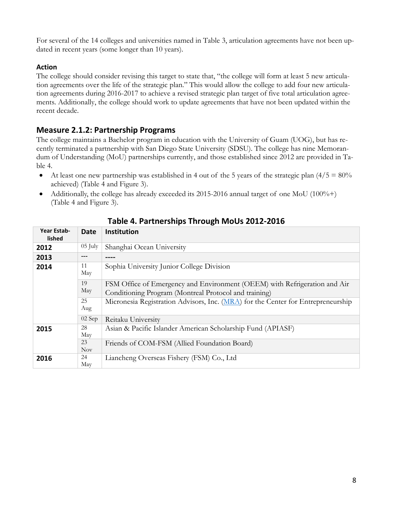For several of the 14 colleges and universities named in Table 3, articulation agreements have not been updated in recent years (some longer than 10 years).

#### **Action**

The college should consider revising this target to state that, "the college will form at least 5 new articulation agreements over the life of the strategic plan." This would allow the college to add four new articulation agreements during 2016-2017 to achieve a revised strategic plan target of five total articulation agreements. Additionally, the college should work to update agreements that have not been updated within the recent decade.

### **Measure 2.1.2: Partnership Programs**

The college maintains a Bachelor program in education with the University of Guam (UOG), but has recently terminated a partnership with San Diego State University (SDSU). The college has nine Memorandum of Understanding (MoU) partnerships currently, and those established since 2012 are provided in Table 4.

- At least one new partnership was established in 4 out of the 5 years of the strategic plan  $\left(4/5 = 80\right)$ % achieved) (Table 4 and Figure 3).
- Additionally, the college has already exceeded its 2015-2016 annual target of one MoU (100%+) (Table 4 and Figure 3).

| Year Estab-<br>lished | <b>Date</b>      | Institution                                                                                                                        |
|-----------------------|------------------|------------------------------------------------------------------------------------------------------------------------------------|
| 2012                  | $05$ July        | Shanghai Ocean University                                                                                                          |
| 2013                  | $- - -$          |                                                                                                                                    |
| 2014                  | 11<br>May        | Sophia University Junior College Division                                                                                          |
|                       | 19<br>May        | FSM Office of Emergency and Environment (OEEM) with Refrigeration and Air<br>Conditioning Program (Montreal Protocol and training) |
|                       | 25<br>Aug        | Micronesia Registration Advisors, Inc. (MRA) for the Center for Entrepreneurship                                                   |
|                       | 02 Sep           | Reitaku University                                                                                                                 |
| 2015                  | 28<br>May        | Asian & Pacific Islander American Scholarship Fund (APIASF)                                                                        |
|                       | 23<br><b>Nov</b> | Friends of COM-FSM (Allied Foundation Board)                                                                                       |
| 2016                  | 24<br>May        | Liancheng Overseas Fishery (FSM) Co., Ltd                                                                                          |

**Table 4. Partnerships Through MoUs 2012-2016**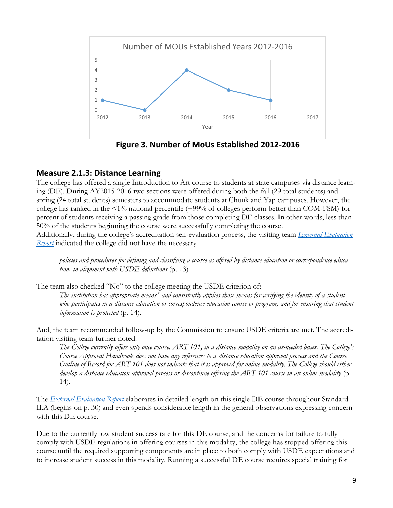

**Figure 3. Number of MoUs Established 2012-2016**

### **Measure 2.1.3: Distance Learning**

The college has offered a single Introduction to Art course to students at state campuses via distance learning (DE). During AY2015-2016 two sections were offered during both the fall (29 total students) and spring (24 total students) semesters to accommodate students at Chuuk and Yap campuses. However, the college has ranked in the <1% national percentile (+99% of colleges perform better than COM-FSM) for percent of students receiving a passing grade from those completing DE classes. In other words, less than 50% of the students beginning the course were successfully completing the course.

Additionally, during the college's accreditation self-evaluation process, the visiting team *[External Evaluation](http://www.comfsm.fm/accreditation/2016/Self_Evaluation/COMFSM_External_Eval_Report_2016.pdf)  [Report](http://www.comfsm.fm/accreditation/2016/Self_Evaluation/COMFSM_External_Eval_Report_2016.pdf)* indicated the college did not have the necessary

*policies and procedures for defining and classifying a course as offered by distance education or correspondence education, in alignment with USDE definitions* (p. 13)

The team also checked "No" to the college meeting the USDE criterion of:

*The institution has appropriate means" and consistently applies those means for verifying the identity of a student*  who participates in a distance education or correspondence education course or program, and for ensuring that student *information is protected* (p. 14).

And, the team recommended follow-up by the Commission to ensure USDE criteria are met. The accreditation visiting team further noted:

*The College currently offers only once course, ART 101, in a distance modality on an as-needed bases. The College's Course Approval Handbook does not have any references to a distance education approval process and the Course Outline of Record for ART 101 does not indicate that it is approved for online modality. The College should either develop a distance education approval process or discontinue offering the ART 101 course in an online modality* (p. 14).

The *[External Evaluation Report](http://www.comfsm.fm/accreditation/2016/Self_Evaluation/COMFSM_External_Eval_Report_2016.pdf)* elaborates in detailed length on this single DE course throughout Standard II.A (begins on p. 30) and even spends considerable length in the general observations expressing concern with this DE course.

Due to the currently low student success rate for this DE course, and the concerns for failure to fully comply with USDE regulations in offering courses in this modality, the college has stopped offering this course until the required supporting components are in place to both comply with USDE expectations and to increase student success in this modality. Running a successful DE course requires special training for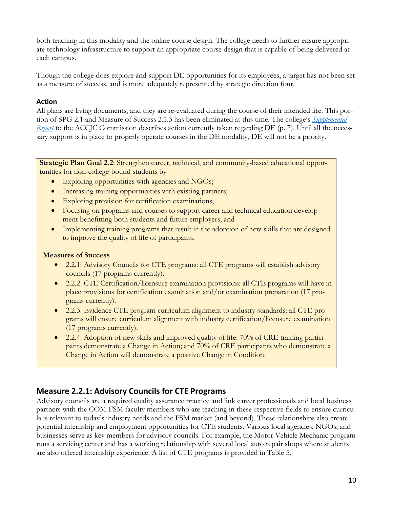both teaching in this modality and the online course design. The college needs to further ensure appropriate technology infrastructure to support an appropriate course design that is capable of being delivered at each campus.

Though the college does explore and support DE opportunities for its employees, a target has not been set as a measure of success, and is more adequately represented by strategic direction four.

#### **Action**

All plans are living documents, and they are re-evaluated during the course of their intended life. This portion of SPG 2.1 and Measure of Success 2.1.3 has been eliminated at this time. The college's *[Supplemental](http://www.comfsm.fm/accreditation/2016/Supplemental/Supplemental-Report-May-2016.pdf)  [Report](http://www.comfsm.fm/accreditation/2016/Supplemental/Supplemental-Report-May-2016.pdf)* to the ACCJC Commission describes action currently taken regarding DE (p. 7). Until all the necessary support is in place to properly operate courses in the DE modality, DE will not be a priority.

**Strategic Plan Goal 2.2**: Strengthen career, technical, and community-based educational opportunities for non-college-bound students by

- Exploring opportunities with agencies and NGOs;
- Increasing training opportunities with existing partners;
- Exploring provision for certification examinations;
- Focusing on programs and courses to support career and technical education development benefitting both students and future employers; and
- Implementing training programs that result in the adoption of new skills that are designed to improve the quality of life of participants.

#### **Measures of Success**

- 2.2.1: Advisory Councils for CTE programs: all CTE programs will establish advisory councils (17 programs currently).
- 2.2.2: CTE Certification/licensure examination provisions: all CTE programs will have in place provisions for certification examination and/or examination preparation (17 programs currently).
- 2.2.3: Evidence CTE program curriculum alignment to industry standards: all CTE programs will ensure curriculum alignment with industry certification/licensure examination (17 programs currently).
- 2.2.4: Adoption of new skills and improved quality of life: 70% of CRE training participants demonstrate a Change in Action; and 70% of CRE participants who demonstrate a Change in Action will demonstrate a positive Change in Condition.

### **Measure 2.2.1: Advisory Councils for CTE Programs**

Advisory councils are a required quality assurance practice and link career professionals and local business partners with the COM-FSM faculty members who are teaching in these respective fields to ensure curricula is relevant to today's industry needs and the FSM market (and beyond). These relationships also create potential internship and employment opportunities for CTE students. Various local agencies, NGOs, and businesses serve as key members for advisory councils. For example, the Motor Vehicle Mechanic program runs a servicing center and has a working relationship with several local auto repair shops where students are also offered internship experience. A list of CTE programs is provided in Table 5.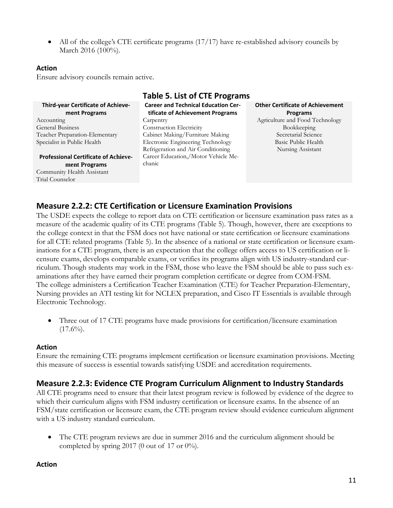• All of the college's CTE certificate programs (17/17) have re-established advisory councils by March 2016 (100%).

#### **Action**

Ensure advisory councils remain active.

| <b>Table 5. List of CTE Programs</b>                                           |                                                            |  |  |  |  |  |
|--------------------------------------------------------------------------------|------------------------------------------------------------|--|--|--|--|--|
| <b>Career and Technical Education Cer-</b><br>tificate of Achievement Programs | <b>Other Certificate of Achievement</b><br><b>Programs</b> |  |  |  |  |  |
| Carpentry                                                                      | Agriculture and Food Technology                            |  |  |  |  |  |
| <b>Construction Electricity</b>                                                | Bookkeeping                                                |  |  |  |  |  |
| Cabinet Making/Furniture Making                                                | Secretarial Science                                        |  |  |  |  |  |
| Electronic Engineering Technology                                              | Basic Public Health                                        |  |  |  |  |  |
| Refrigeration and Air Conditioning                                             | Nursing Assistant                                          |  |  |  |  |  |
| Career Education,/Motor Vehicle Me-                                            |                                                            |  |  |  |  |  |
| chanic                                                                         |                                                            |  |  |  |  |  |
|                                                                                |                                                            |  |  |  |  |  |
|                                                                                |                                                            |  |  |  |  |  |
|                                                                                |                                                            |  |  |  |  |  |

# **Measure 2.2.2: CTE Certification or Licensure Examination Provisions**

The USDE expects the college to report data on CTE certification or licensure examination pass rates as a measure of the academic quality of its CTE programs (Table 5). Though, however, there are exceptions to the college context in that the FSM does not have national or state certification or licensure examinations for all CTE related programs (Table 5). In the absence of a national or state certification or licensure examinations for a CTE program, there is an expectation that the college offers access to US certification or licensure exams, develops comparable exams, or verifies its programs align with US industry-standard curriculum. Though students may work in the FSM, those who leave the FSM should be able to pass such examinations after they have earned their program completion certificate or degree from COM-FSM. The college administers a Certification Teacher Examination (CTE) for Teacher Preparation-Elementary, Nursing provides an ATI testing kit for NCLEX preparation, and Cisco IT Essentials is available through Electronic Technology.

• Three out of 17 CTE programs have made provisions for certification/licensure examination  $(17.6\%)$ .

#### **Action**

Ensure the remaining CTE programs implement certification or licensure examination provisions. Meeting this measure of success is essential towards satisfying USDE and accreditation requirements.

### **Measure 2.2.3: Evidence CTE Program Curriculum Alignment to Industry Standards**

All CTE programs need to ensure that their latest program review is followed by evidence of the degree to which their curriculum aligns with FSM industry certification or licensure exams. In the absence of an FSM/state certification or licensure exam, the CTE program review should evidence curriculum alignment with a US industry standard curriculum.

• The CTE program reviews are due in summer 2016 and the curriculum alignment should be completed by spring 2017 (0 out of 17 or  $0\%$ ).

#### **Action**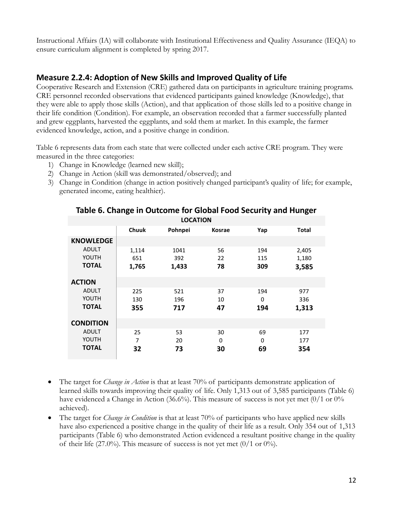Instructional Affairs (IA) will collaborate with Institutional Effectiveness and Quality Assurance (IEQA) to ensure curriculum alignment is completed by spring 2017.

### **Measure 2.2.4: Adoption of New Skills and Improved Quality of Life**

Cooperative Research and Extension (CRE) gathered data on participants in agriculture training programs. CRE personnel recorded observations that evidenced participants gained knowledge (Knowledge), that they were able to apply those skills (Action), and that application of those skills led to a positive change in their life condition (Condition). For example, an observation recorded that a farmer successfully planted and grew eggplants, harvested the eggplants, and sold them at market. In this example, the farmer evidenced knowledge, action, and a positive change in condition.

Table 6 represents data from each state that were collected under each active CRE program. They were measured in the three categories:

- 1) Change in Knowledge (learned new skill);
- 2) Change in Action (skill was demonstrated/observed); and
- 3) Change in Condition (change in action positively changed participant's quality of life; for example, generated income, eating healthier).

| <b>LOCATION</b>  |              |         |               |     |              |  |  |  |
|------------------|--------------|---------|---------------|-----|--------------|--|--|--|
|                  | <b>Chuuk</b> | Pohnpei | <b>Kosrae</b> | Yap | <b>Total</b> |  |  |  |
| <b>KNOWLEDGE</b> |              |         |               |     |              |  |  |  |
| <b>ADULT</b>     | 1,114        | 1041    | 56            | 194 | 2,405        |  |  |  |
| YOUTH            | 651          | 392     | 22            | 115 | 1,180        |  |  |  |
| <b>TOTAL</b>     | 1,765        | 1,433   | 78            | 309 | 3,585        |  |  |  |
| <b>ACTION</b>    |              |         |               |     |              |  |  |  |
| <b>ADULT</b>     | 225          | 521     | 37            | 194 | 977          |  |  |  |
| YOUTH            | 130          | 196     | 10            | 0   | 336          |  |  |  |
| <b>TOTAL</b>     | 355          | 717     | 47            | 194 | 1,313        |  |  |  |
| <b>CONDITION</b> |              |         |               |     |              |  |  |  |
| <b>ADULT</b>     | 25           | 53      | 30            | 69  | 177          |  |  |  |
| YOUTH            | 7            | 20      | 0             | 0   | 177          |  |  |  |
| <b>TOTAL</b>     | 32           | 73      | 30            | 69  | 354          |  |  |  |

### **Table 6. Change in Outcome for Global Food Security and Hunger**

- The target for *Change in Action* is that at least 70% of participants demonstrate application of learned skills towards improving their quality of life. Only 1,313 out of 3,585 participants (Table 6) have evidenced a Change in Action (36.6%). This measure of success is not yet met (0/1 or 0% achieved).
- The target for *Change in Condition* is that at least 70% of participants who have applied new skills have also experienced a positive change in the quality of their life as a result. Only 354 out of 1,313 participants (Table 6) who demonstrated Action evidenced a resultant positive change in the quality of their life (27.0%). This measure of success is not yet met (0/1 or 0%).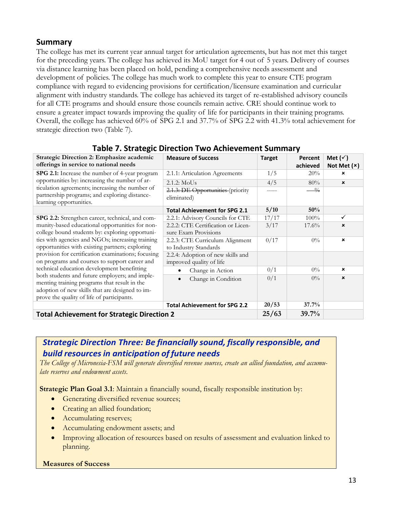### **Summary**

The college has met its current year annual target for articulation agreements, but has not met this target for the preceding years. The college has achieved its MoU target for 4 out of 5 years. Delivery of courses via distance learning has been placed on hold, pending a comprehensive needs assessment and development of policies. The college has much work to complete this year to ensure CTE program compliance with regard to evidencing provisions for certification/licensure examination and curricular alignment with industry standards. The college has achieved its target of re-established advisory councils for all CTE programs and should ensure those councils remain active. CRE should continue work to ensure a greater impact towards improving the quality of life for participants in their training programs. Overall, the college has achieved 60% of SPG 2.1 and 37.7% of SPG 2.2 with 41.3% total achievement for strategic direction two (Table 7).

| Strategic Direction 2: Emphasize academic                                                                                   | <b>Measure of Success</b>                        | <b>Target</b> | Percent    | Met $(\check{v})$         |
|-----------------------------------------------------------------------------------------------------------------------------|--------------------------------------------------|---------------|------------|---------------------------|
| offerings in service to national needs                                                                                      |                                                  |               | achieved   | Not Met $(x)$             |
| <b>SPG 2.1:</b> Increase the number of 4-year program                                                                       | 2.1.1: Articulation Agreements                   | 1/5           | 20%        | ×                         |
| opportunities by: increasing the number of ar-                                                                              | 2.1.2: MoUs                                      | 4/5           | 80%        | $\boldsymbol{\mathsf{x}}$ |
| ticulation agreements; increasing the number of<br>partnership programs; and exploring distance-<br>learning opportunities. | 2.1.3: DE Opportunities (priority<br>eliminated) |               | $^{0}_{0}$ |                           |
|                                                                                                                             | <b>Total Achievement for SPG 2.1</b>             | 5/10          | 50%        |                           |
| SPG 2.2: Strengthen career, technical, and com-                                                                             | 2.2.1: Advisory Councils for CTE                 | 17/17         | 100%       | ✓                         |
| munity-based educational opportunities for non-                                                                             | 2.2.2: CTE Certification or Licen-               | 3/17          | $17.6\%$   | $\pmb{\times}$            |
| college bound students by: exploring opportuni-                                                                             | sure Exam Provisions                             |               |            |                           |
| ties with agencies and NGOs; increasing training                                                                            | 2.2.3: CTE Curriculum Alignment                  | 0/17          | $0\%$      | $\boldsymbol{\mathsf{x}}$ |
| opportunities with existing partners; exploring                                                                             | to Industry Standards                            |               |            |                           |
| provision for certification examinations; focusing                                                                          | 2.2.4: Adoption of new skills and                |               |            |                           |
| on programs and courses to support career and                                                                               | improved quality of life                         |               |            |                           |
| technical education development benefitting                                                                                 | Change in Action                                 | 0/1           | $0\%$      | $\boldsymbol{\mathsf{x}}$ |
| both students and future employers; and imple-<br>menting training programs that result in the                              | Change in Condition<br>$\bullet$                 | 0/1           | $0\%$      | $\boldsymbol{\mathsf{x}}$ |
| adoption of new skills that are designed to im-                                                                             |                                                  |               |            |                           |
| prove the quality of life of participants.                                                                                  |                                                  |               |            |                           |
|                                                                                                                             | <b>Total Achievement for SPG 2.2</b>             | 20/53         | 37.7%      |                           |
| <b>Total Achievement for Strategic Direction 2</b>                                                                          |                                                  |               | 39.7%      |                           |

### **Table 7. Strategic Direction Two Achievement Summary**

### *Strategic Direction Three: Be financially sound, fiscally responsible, and build resourcesin anticipation of future needs*

*The College of Micronesia-FSM will generate diversified revenue sources, create an allied foundation, and accumulate reserves and endowment assets*.

**Strategic Plan Goal 3.1:** Maintain a financially sound, fiscally responsible institution by:

- Generating diversified revenue sources;
- Creating an allied foundation;
- Accumulating reserves;
- Accumulating endowment assets; and
- Improving allocation of resources based on results of assessment and evaluation linked to planning.

#### **Measures of Success**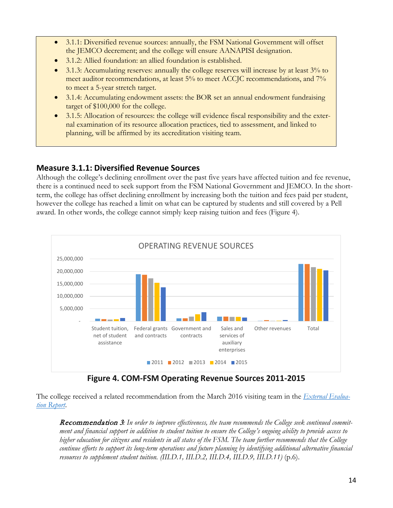- 3.1.1: Diversified revenue sources: annually, the FSM National Government will offset the JEMCO decrement; and the college will ensure AANAPISI designation.
- 3.1.2: Allied foundation: an allied foundation is established.
- 3.1.3: Accumulating reserves: annually the college reserves will increase by at least 3% to meet auditor recommendations, at least 5% to meet ACCJC recommendations, and 7% to meet a 5-year stretch target.
- 3.1.4: Accumulating endowment assets: the BOR set an annual endowment fundraising target of \$100,000 for the college.
- 3.1.5: Allocation of resources: the college will evidence fiscal responsibility and the external examination of its resource allocation practices, tied to assessment, and linked to planning, will be affirmed by its accreditation visiting team.

### **Measure 3.1.1: Diversified Revenue Sources**

Although the college's declining enrollment over the past five years have affected tuition and fee revenue, there is a continued need to seek support from the FSM National Government and JEMCO. In the shortterm, the college has offset declining enrollment by increasing both the tuition and fees paid per student, however the college has reached a limit on what can be captured by students and still covered by a Pell award. In other words, the college cannot simply keep raising tuition and fees (Figure 4).



**Figure 4. COM-FSM Operating Revenue Sources 2011-2015**

The college received a related recommendation from the March 2016 visiting team in the *[External Evalua](http://www.comfsm.fm/accreditation/2016/Self_Evaluation/COMFSM_External_Eval_Report_2016.pdf)[tion Report](http://www.comfsm.fm/accreditation/2016/Self_Evaluation/COMFSM_External_Eval_Report_2016.pdf)*.

Recommendation 3*: In order to improve effectiveness, the team recommends the College seek continued commitment and financial support in addition to student tuition to ensure the College's ongoing ability to provide access to higher education for citizens and residents in all states of the FSM. The team further recommends that the College continue efforts to support its long-term operations and future planning by identifying additional alternative financial resources to supplement student tuition.* (III.D.1, III.D.2, III.D.4, III.D.9, III.D.11) (p.6).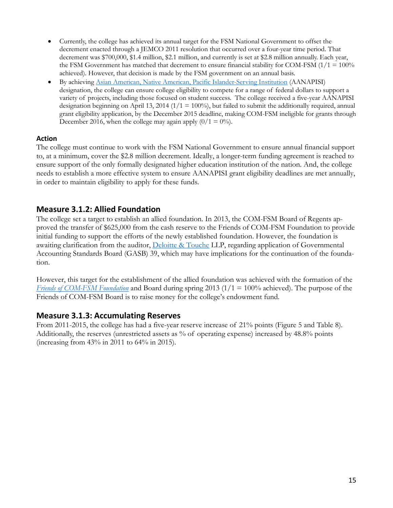- Currently, the college has achieved its annual target for the FSM National Government to offset the decrement enacted through a JEMCO 2011 resolution that occurred over a four-year time period. That decrement was \$700,000, \$1.4 million, \$2.1 million, and currently is set at \$2.8 million annually. Each year, the FSM Government has matched that decrement to ensure financial stability for COM-FSM  $(1/1 = 100\%)$ achieved). However, that decision is made by the FSM government on an annual basis.
- By achieving [Asian American, Native American, Pacific Islander-Serving Institution](http://www2.ed.gov/programs/aanapi/index.html) (AANAPISI) designation, the college can ensure college eligibility to compete for a range of federal dollars to support a variety of projects, including those focused on student success. The college received a five-year AANAPISI designation beginning on April 13, 2014 ( $1/1 = 100\%$ ), but failed to submit the additionally required, annual grant eligibility application, by the December 2015 deadline, making COM-FSM ineligible for grants through December 2016, when the college may again apply  $(0/1 = 0\%)$ .

#### **Action**

The college must continue to work with the FSM National Government to ensure annual financial support to, at a minimum, cover the \$2.8 million decrement. Ideally, a longer-term funding agreement is reached to ensure support of the only formally designated higher education institution of the nation. And, the college needs to establish a more effective system to ensure AANAPISI grant eligibility deadlines are met annually, in order to maintain eligibility to apply for these funds.

#### **Measure 3.1.2: Allied Foundation**

The college set a target to establish an allied foundation. In 2013, the COM-FSM Board of Regents approved the transfer of \$625,000 from the cash reserve to the Friends of COM-FSM Foundation to provide initial funding to support the efforts of the newly established foundation. However, the foundation is awaiting clarification from the auditor, [Deloitte & Touche](http://www2.deloitte.com/gu/en/footerlinks/office-locator/guam/pohnpei-office.html) LLP, regarding application of Governmental Accounting Standards Board (GASB) 39, which may have implications for the continuation of the foundation.

However, this target for the establishment of the allied foundation was achieved with the formation of the *[Friends of COM-FSM Foundation](http://www.comfsm.fm/myShark/news/item=524/mod=01:51:34)* and Board during spring 2013 (1/1 = 100% achieved). The purpose of the Friends of COM-FSM Board is to raise money for the college's endowment fund.

#### **Measure 3.1.3: Accumulating Reserves**

From 2011-2015, the college has had a five-year reserve increase of 21% points (Figure 5 and Table 8). Additionally, the reserves (unrestricted assets as % of operating expense) increased by 48.8% points (increasing from 43% in 2011 to 64% in 2015).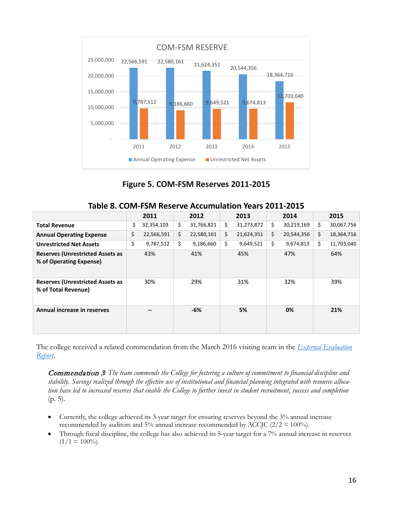

### **Figure 5. COM-FSM Reserves 2011-2015**

|                                                                    | 2011             | 2012             |     | 2013       | 2014             | 2015             |
|--------------------------------------------------------------------|------------------|------------------|-----|------------|------------------|------------------|
| <b>Total Revenue</b>                                               | \$<br>32,354,103 | \$<br>31,766,821 | \$. | 31,273,872 | \$<br>30,219,169 | \$<br>30,067,756 |
| <b>Annual Operating Expense</b>                                    | \$<br>22,566,591 | \$<br>22,580,161 | \$  | 21,624,351 | \$<br>20,544,356 | \$<br>18,364,716 |
| <b>Unrestricted Net Assets</b>                                     | \$<br>9,787,512  | \$<br>9,186,660  | \$  | 9,649,521  | \$<br>9,674,813  | \$<br>11,703,040 |
| <b>Reserves (Unrestricted Assets as</b><br>% of Operating Expense) | 43%              | 41%              |     | 45%        | 47%              | 64%              |
| <b>Reserves (Unrestricted Assets as</b><br>% of Total Revenue)     | 30%              | 29%              |     | 31%        | 32%              | 39%              |
| Annual increase in reserves                                        |                  | -6%              |     | 5%         | 0%               | 21%              |

The college received a related commendation from the March 2016 visiting team in the *[External Evaluation](http://www.comfsm.fm/accreditation/2016/Self_Evaluation/COMFSM_External_Eval_Report_2016.pdf)  [Report](http://www.comfsm.fm/accreditation/2016/Self_Evaluation/COMFSM_External_Eval_Report_2016.pdf)*.

Commendation 3*: The team commends the College for fostering a culture of commitment to financial discipline and stability. Savings realized through the effective use of institutional and financial planning integrated with resource allocation have led to increased reserves that enable the College to further invest in student recruitment, success and completion*  (p. 5).

- Currently, the college achieved its 3-year target for ensuring reserves beyond the 3% annual increase recommended by auditors and 5% annual increase recommended by ACCJC ( $2/2 = 100\%$ ).
- Through fiscal discipline, the college has also achieved its 5-year target for a 7% annual increase in reserves  $(1/1 = 100\%).$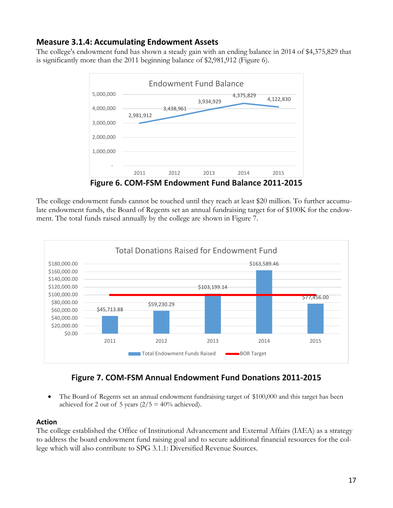### **Measure 3.1.4: Accumulating Endowment Assets**

The college's endowment fund has shown a steady gain with an ending balance in 2014 of \$4,375,829 that is significantly more than the 2011 beginning balance of \$2,981,912 (Figure 6).



The college endowment funds cannot be touched until they reach at least \$20 million. To further accumulate endowment funds, the Board of Regents set an annual fundraising target for of \$100K for the endowment. The total funds raised annually by the college are shown in Figure 7.



### **Figure 7. COM-FSM Annual Endowment Fund Donations 2011-2015**

• The Board of Regents set an annual endowment fundraising target of \$100,000 and this target has been achieved for 2 out of 5 years  $(2/5 = 40\%$  achieved).

#### **Action**

The college established the Office of Institutional Advancement and External Affairs (IAEA) as a strategy to address the board endowment fund raising goal and to secure additional financial resources for the college which will also contribute to SPG 3.1.1: Diversified Revenue Sources.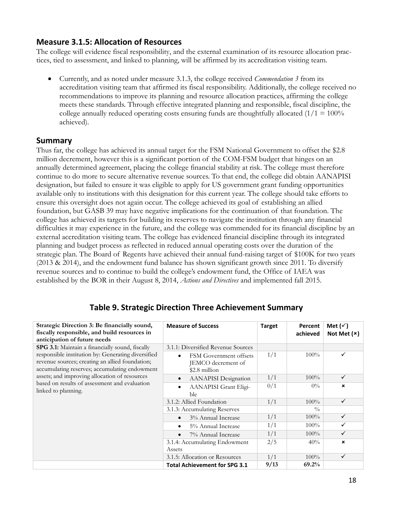### **Measure 3.1.5: Allocation of Resources**

The college will evidence fiscal responsibility, and the external examination of its resource allocation practices, tied to assessment, and linked to planning, will be affirmed by its accreditation visiting team.

• Currently, and as noted under measure 3.1.3, the college received *Commendation 3* from its accreditation visiting team that affirmed its fiscal responsibility. Additionally, the college received no recommendations to improve its planning and resource allocation practices, affirming the college meets these standards. Through effective integrated planning and responsible, fiscal discipline, the college annually reduced operating costs ensuring funds are thoughtfully allocated  $(1/1 = 100\%$ achieved).

#### **Summary**

Thus far, the college has achieved its annual target for the FSM National Government to offset the \$2.8 million decrement, however this is a significant portion of the COM-FSM budget that hinges on an annually determined agreement, placing the college financial stability at risk. The college must therefore continue to do more to secure alternative revenue sources. To that end, the college did obtain AANAPISI designation, but failed to ensure it was eligible to apply for US government grant funding opportunities available only to institutions with this designation for this current year. The college should take efforts to ensure this oversight does not again occur. The college achieved its goal of establishing an allied foundation, but GASB 39 may have negative implications for the continuation of that foundation. The college has achieved its targets for building its reserves to navigate the institution through any financial difficulties it may experience in the future, and the college was commended for its financial discipline by an external accreditation visiting team. The college has evidenced financial discipline through its integrated planning and budget process as reflected in reduced annual operating costs over the duration of the strategic plan. The Board of Regents have achieved their annual fund-raising target of \$100K for two years (2013 & 2014), and the endowment fund balance has shown significant growth since 2011. To diversify revenue sources and to continue to build the college's endowment fund, the Office of IAEA was established by the BOR in their August 8, 2014, *Actions and Directives* and implemented fall 2015.

| Strategic Direction 3: Be financially sound,<br>fiscally responsible, and build resources in<br>anticipation of future needs                                                                                                                                                                                                       | <b>Measure of Success</b>                                                  | <b>Target</b> | Percent<br>achieved | Met $(\check{v})$<br>Not Met $(x)$ |
|------------------------------------------------------------------------------------------------------------------------------------------------------------------------------------------------------------------------------------------------------------------------------------------------------------------------------------|----------------------------------------------------------------------------|---------------|---------------------|------------------------------------|
| SPG 3.1: Maintain a financially sound, fiscally<br>responsible institution by: Generating diversified<br>revenue sources; creating an allied foundation;<br>accumulating reserves; accumulating endowment<br>assets; and improving allocation of resources<br>based on results of assessment and evaluation<br>linked to planning. | 3.1.1: Diversified Revenue Sources                                         |               |                     |                                    |
|                                                                                                                                                                                                                                                                                                                                    | FSM Government offsets<br>$\bullet$<br>JEMCO decrement of<br>\$2.8 million | 1/1           | $100\%$             | ✓                                  |
|                                                                                                                                                                                                                                                                                                                                    | <b>AANAPISI</b> Designation<br>$\bullet$                                   | 1/1           | $100\%$             | $\checkmark$                       |
|                                                                                                                                                                                                                                                                                                                                    | AANAPISI Grant Eligi-<br>$\bullet$<br>ble                                  | 0/1           | $0\%$               | $\boldsymbol{\mathsf{x}}$          |
|                                                                                                                                                                                                                                                                                                                                    | 3.1.2: Allied Foundation                                                   | 1/1           | $100\%$             | $\checkmark$                       |
|                                                                                                                                                                                                                                                                                                                                    | 3.1.3: Accumulating Reserves                                               |               | $\frac{0}{0}$       |                                    |
|                                                                                                                                                                                                                                                                                                                                    | 3% Annual Increase                                                         | 1/1           | $100\%$             | $\checkmark$                       |
|                                                                                                                                                                                                                                                                                                                                    | 5% Annual Increase                                                         | 1/1           | $100\%$             | $\checkmark$                       |
|                                                                                                                                                                                                                                                                                                                                    | 7% Annual Increase                                                         | 1/1           | $100\%$             | $\checkmark$                       |
|                                                                                                                                                                                                                                                                                                                                    | 3.1.4: Accumulating Endowment                                              | 2/5           | 40%                 | $\mathbf x$                        |
|                                                                                                                                                                                                                                                                                                                                    | Assets                                                                     |               |                     |                                    |
|                                                                                                                                                                                                                                                                                                                                    | 3.1.5: Allocation or Resources                                             | 1/1           | $100\%$             | $\checkmark$                       |
|                                                                                                                                                                                                                                                                                                                                    | <b>Total Achievement for SPG 3.1</b>                                       | 9/13          | 69.2%               |                                    |

### **Table 9. Strategic Direction Three Achievement Summary**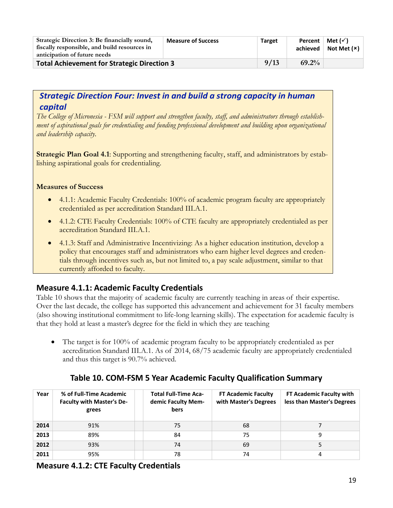| Strategic Direction 3: Be financially sound,<br>fiscally responsible, and build resources in<br>anticipation of future needs | <b>Measure of Success</b> | <b>Target</b> | Percent  <br>achieved | Met $(\checkmark)$<br>Not Met $(x)$ |
|------------------------------------------------------------------------------------------------------------------------------|---------------------------|---------------|-----------------------|-------------------------------------|
| Total Achievement for Strategic Direction 3                                                                                  | 9/13                      | 69.2%         |                       |                                     |

### *Strategic Direction Four: Invest in and build a strong capacity in human capital*

*The College of Micronesia - FSM will support and strengthen faculty, staff, and administrators through establishment of aspirational goals for credentialing and funding professional development and building upon organizational and leadership capacity*.

**Strategic Plan Goal 4.1**: Supporting and strengthening faculty, staff, and administrators by establishing aspirational goals for credentialing.

#### **Measures of Success**

- 4.1.1: Academic Faculty Credentials: 100% of academic program faculty are appropriately credentialed as per accreditation Standard III.A.1.
- 4.1.2: CTE Faculty Credentials: 100% of CTE faculty are appropriately credentialed as per accreditation Standard III.A.1.
- 4.1.3: Staff and Administrative Incentivizing: As a higher education institution, develop a policy that encourages staff and administrators who earn higher level degrees and credentials through incentives such as, but not limited to, a pay scale adjustment, similar to that currently afforded to faculty.

### **Measure 4.1.1: Academic Faculty Credentials**

Table 10 shows that the majority of academic faculty are currently teaching in areas of their expertise. Over the last decade, the college has supported this advancement and achievement for 31 faculty members (also showing institutional commitment to life-long learning skills). The expectation for academic faculty is that they hold at least a master's degree for the field in which they are teaching

• The target is for 100% of academic program faculty to be appropriately credentialed as per accreditation Standard III.A.1. As of 2014, 68/75 academic faculty are appropriately credentialed and thus this target is 90.7% achieved.

| Year | % of Full-Time Academic<br><b>Faculty with Master's De-</b><br>grees | <b>Total Full-Time Aca-</b><br>demic Faculty Mem-<br>bers | <b>FT Academic Faculty</b><br>with Master's Degrees | FT Academic Faculty with<br>less than Master's Degrees |
|------|----------------------------------------------------------------------|-----------------------------------------------------------|-----------------------------------------------------|--------------------------------------------------------|
| 2014 | 91%                                                                  | 75                                                        | 68                                                  |                                                        |
| 2013 | 89%                                                                  | 84                                                        | 75                                                  | 9                                                      |
| 2012 | 93%                                                                  | 74                                                        | 69                                                  |                                                        |
| 2011 | 95%                                                                  | 78                                                        | 74                                                  | 4                                                      |

### **Table 10. COM-FSM 5 Year Academic Faculty Qualification Summary**

**Measure 4.1.2: CTE Faculty Credentials**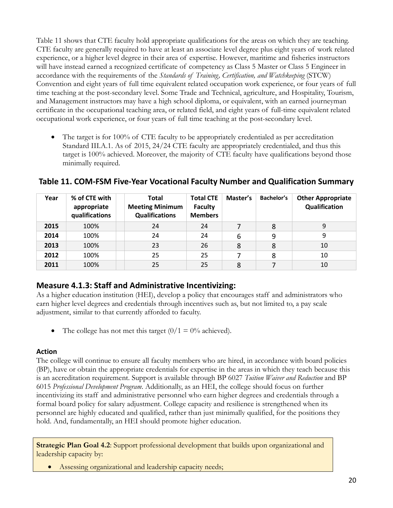Table 11 shows that CTE faculty hold appropriate qualifications for the areas on which they are teaching. CTE faculty are generally required to have at least an associate level degree plus eight years of work related experience, or a higher level degree in their area of expertise. However, maritime and fisheries instructors will have instead earned a recognized certificate of competency as Class 5 Master or Class 5 Engineer in accordance with the requirements of the *Standards of Training, Certification, and Watchkeeping* (STCW) Convention and eight years of full time equivalent related occupation work experience, or four years of full time teaching at the post-secondary level. Some Trade and Technical, agriculture, and Hospitality, Tourism, and Management instructors may have a high school diploma, or equivalent, with an earned journeyman certificate in the occupational teaching area, or related field, and eight years of full-time equivalent related occupational work experience, or four years of full time teaching at the post-secondary level.

The target is for 100% of CTE faculty to be appropriately credentialed as per accreditation Standard III.A.1. As of 2015, 24/24 CTE faculty are appropriately credentialed, and thus this target is 100% achieved. Moreover, the majority of CTE faculty have qualifications beyond those minimally required.

| Year | % of CTE with<br>appropriate<br>qualifications | Total<br><b>Meeting Minimum</b><br><b>Qualifications</b> | <b>Total CTE</b><br><b>Faculty</b><br><b>Members</b> | Master's | Bachelor's | <b>Other Appropriate</b><br>Qualification |
|------|------------------------------------------------|----------------------------------------------------------|------------------------------------------------------|----------|------------|-------------------------------------------|
| 2015 | 100%                                           | 24                                                       | 24                                                   |          | 8          | 9                                         |
| 2014 | 100%                                           | 24                                                       | 24                                                   | 6        | 9          | ٩                                         |
| 2013 | 100%                                           | 23                                                       | 26                                                   | 8        | 8          | 10                                        |
| 2012 | 100%                                           | 25                                                       | 25                                                   |          | 8          | 10                                        |
| 2011 | 100%                                           | 25                                                       | 25                                                   | 8        |            | 10                                        |

**Table 11. COM-FSM Five-Year Vocational Faculty Number and Qualification Summary**

### **Measure 4.1.3: Staff and Administrative Incentivizing:**

As a higher education institution (HEI), develop a policy that encourages staff and administrators who earn higher level degrees and credentials through incentives such as, but not limited to, a pay scale adjustment, similar to that currently afforded to faculty.

• The college has not met this target  $(0/1 = 0\%$  achieved).

#### **Action**

The college will continue to ensure all faculty members who are hired, in accordance with board policies (BP), have or obtain the appropriate credentials for expertise in the areas in which they teach because this is an accreditation requirement. Support is available through BP 6027 *Tuition Waiver and Reduction* and BP 6015 *Professional Development Program*. Additionally, as an HEI, the college should focus on further incentivizing its staff and administrative personnel who earn higher degrees and credentials through a formal board policy for salary adjustment. College capacity and resilience is strengthened when its personnel are highly educated and qualified, rather than just minimally qualified, for the positions they hold. And, fundamentally, an HEI should promote higher education.

**Strategic Plan Goal 4.2:** Support professional development that builds upon organizational and leadership capacity by:

• Assessing organizational and leadership capacity needs;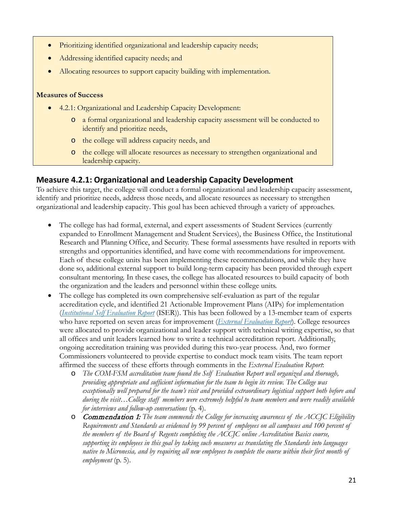- Prioritizing identified organizational and leadership capacity needs;
- Addressing identified capacity needs; and
- Allocating resources to support capacity building with implementation.

#### **Measures of Success**

- 4.2.1: Organizational and Leadership Capacity Development:
	- o a formal organizational and leadership capacity assessment will be conducted to identify and prioritize needs,
	- o the college will address capacity needs, and
	- o the college will allocate resources as necessary to strengthen organizational and leadership capacity.

### **Measure 4.2.1: Organizational and Leadership Capacity Development**

To achieve this target, the college will conduct a formal organizational and leadership capacity assessment, identify and prioritize needs, address those needs, and allocate resources as necessary to strengthen organizational and leadership capacity. This goal has been achieved through a variety of approaches.

- The college has had formal, external, and expert assessments of Student Services (currently expanded to Enrollment Management and Student Services), the Business Office, the Institutional Research and Planning Office, and Security. These formal assessments have resulted in reports with strengths and opportunities identified, and have come with recommendations for improvement. Each of these college units has been implementing these recommendations, and while they have done so, additional external support to build long-term capacity has been provided through expert consultant mentoring. In these cases, the college has allocated resources to build capacity of both the organization and the leaders and personnel within these college units.
- The college has completed its own comprehensive self-evaluation as part of the regular accreditation cycle, and identified 21 Actionable Improvement Plans (AIPs) for implementation (*[Institutional Self Evaluation Report](http://www.comfsm.fm/accreditation/2016/Self_Evaluation/COMFSM_SELFEVAL_15DEC2015.pdf)* (ISER)). This has been followed by a 13-member team of experts who have reported on seven areas for improvement (*[External Evaluation Report](http://www.comfsm.fm/accreditation/2016/Self_Evaluation/COMFSM_External_Eval_Report_2016.pdf)*). College resources were allocated to provide organizational and leader support with technical writing expertise, so that all offices and unit leaders learned how to write a technical accreditation report. Additionally, ongoing accreditation training was provided during this two-year process. And, two former Commissioners volunteered to provide expertise to conduct mock team visits. The team report affirmed the success of these efforts through comments in the *External Evaluation Report*:
	- o *The COM-FSM accreditation team found the Self Evaluation Report well organized and thorough, providing appropriate and sufficient information for the team to begin its review. The College was exceptionally well prepared for the team's visit and provided extraordinary logistical support both before and during the visit…College staff members were extremely helpful to team members and were readily available for interviews and follow-up conversations* (p. 4).
	- o Commendation 1: *The team commends the College for increasing awareness of the ACCJC Eligibility Requirements and Standards as evidenced by 99 percent of employees on all campuses and 100 percent of the members of the Board of Regents completing the ACCJC online Accreditation Basics course, supporting its employees in this goal by taking such measures as translating the Standards into languages native to Micronesia, and by requiring all new employees to complete the course within their first month of employment* (p. 5).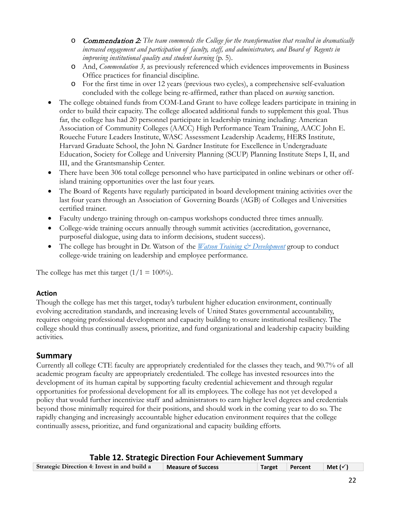- o Commendation 2: *The team commends the College for the transformation that resulted in dramatically increased engagement and participation of faculty, staff, and administrators, and Board of Regents in improving institutional quality and student learning* (p. 5).
- o And, *Commendation 3,* as previously referenced which evidences improvements in Business Office practices for financial discipline.
- o For the first time in over 12 years (previous two cycles), a comprehensive self-evaluation concluded with the college being re-affirmed, rather than placed on *warning* sanction.
- The college obtained funds from COM-Land Grant to have college leaders participate in training in order to build their capacity. The college allocated additional funds to supplement this goal. Thus far, the college has had 20 personnel participate in leadership training including: American Association of Community Colleges (AACC) High Performance Team Training, AACC John E. Roueche Future Leaders Institute, WASC Assessment Leadership Academy, HERS Institute, Harvard Graduate School, the John N. Gardner Institute for Excellence in Undergraduate Education, Society for College and University Planning (SCUP) Planning Institute Steps I, II, and III, and the Grantsmanship Center.
- There have been 306 total college personnel who have participated in online webinars or other offisland training opportunities over the last four years.
- The Board of Regents have regularly participated in board development training activities over the last four years through an Association of Governing Boards (AGB) of Colleges and Universities certified trainer.
- Faculty undergo training through on-campus workshops conducted three times annually.
- College-wide training occurs annually through summit activities (accreditation, governance, purposeful dialogue, using data to inform decisions, student success).
- The college has brought in Dr. Watson of the *[Watson Training & Development](https://www.watson-training.com/)* group to conduct college-wide training on leadership and employee performance.

The college has met this target  $(1/1 = 100\%)$ .

### **Action**

Though the college has met this target, today's turbulent higher education environment, continually evolving accreditation standards, and increasing levels of United States governmental accountability, requires ongoing professional development and capacity building to ensure institutional resiliency. The college should thus continually assess, prioritize, and fund organizational and leadership capacity building activities.

### **Summary**

Currently all college CTE faculty are appropriately credentialed for the classes they teach, and 90.7% of all academic program faculty are appropriately credentialed. The college has invested resources into the development of its human capital by supporting faculty credential achievement and through regular opportunities for professional development for all its employees. The college has not yet developed a policy that would further incentivize staff and administrators to earn higher level degrees and credentials beyond those minimally required for their positions, and should work in the coming year to do so. The rapidly changing and increasingly accountable higher education environment requires that the college continually assess, prioritize, and fund organizational and capacity building efforts.

#### **Table 12. Strategic Direction Four Achievement Summary**

| Strategic Direction 4: Invest in and build a | Measure of Success | Target Percent | $\vert$ Met ( $\checkmark$ ) |  |
|----------------------------------------------|--------------------|----------------|------------------------------|--|
|                                              |                    |                |                              |  |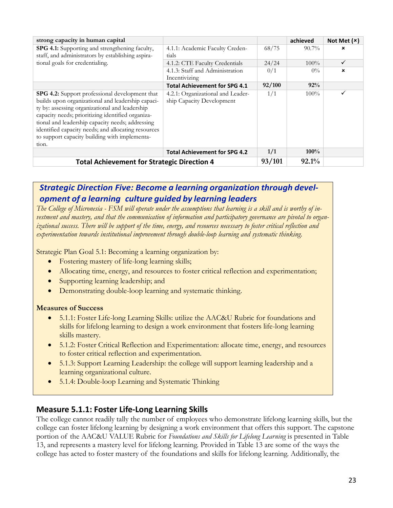| strong capacity in human capital                    |                                      |        | achieved | Not Met $(x)$ |
|-----------------------------------------------------|--------------------------------------|--------|----------|---------------|
| SPG 4.1: Supporting and strengthening faculty,      | 4.1.1: Academic Faculty Creden-      | 68/75  | $90.7\%$ | ×             |
| staff, and administrators by establishing aspira-   | tials                                |        |          |               |
| tional goals for credentialing.                     | 4.1.2: CTE Faculty Credentials       | 24/24  | $100\%$  | ✓             |
|                                                     | 4.1.3: Staff and Administration      | 0/1    | $0\%$    | $\mathbf x$   |
|                                                     | Incentivizing                        |        |          |               |
|                                                     | <b>Total Achievement for SPG 4.1</b> | 92/100 | 92%      |               |
| SPG 4.2: Support professional development that      | 4.2.1: Organizational and Leader-    | 1/1    | 100%     |               |
| builds upon organizational and leadership capaci-   | ship Capacity Development            |        |          |               |
| ty by: assessing organizational and leadership      |                                      |        |          |               |
| capacity needs; prioritizing identified organiza-   |                                      |        |          |               |
| tional and leadership capacity needs; addressing    |                                      |        |          |               |
| identified capacity needs; and allocating resources |                                      |        |          |               |
| to support capacity building with implementa-       |                                      |        |          |               |
| tion.                                               |                                      |        |          |               |
|                                                     | <b>Total Achievement for SPG 4.2</b> | 1/1    | 100%     |               |
| <b>Total Achievement for Strategic Direction 4</b>  |                                      | 93/101 | 92.1%    |               |

### *Strategic Direction Five: Become a learning organization through development of a learning culture guided by learning leaders*

*The College of Micronesia - FSM will operate under the assumptions that learning is a skill and is worthy of investment and mastery, and that the communication of information and participatory governance are pivotal to organizational success. There will be support of the time, energy, and resources necessary to foster critical reflection and experimentation towards institutional improvement through double-loop learning and systematic thinking.*

Strategic Plan Goal 5.1: Becoming a learning organization by:

- Fostering mastery of life-long learning skills;
- Allocating time, energy, and resources to foster critical reflection and experimentation;
- Supporting learning leadership; and
- Demonstrating double-loop learning and systematic thinking.

#### **Measures of Success**

- 5.1.1: Foster Life-long Learning Skills: utilize the AAC&U Rubric for foundations and skills for lifelong learning to design a work environment that fosters life-long learning skills mastery.
- 5.1.2: Foster Critical Reflection and Experimentation: allocate time, energy, and resources to foster critical reflection and experimentation.
- 5.1.3: Support Learning Leadership: the college will support learning leadership and a learning organizational culture.
- 5.1.4: Double-loop Learning and Systematic Thinking

### **Measure 5.1.1: Foster Life-Long Learning Skills**

The college cannot readily tally the number of employees who demonstrate lifelong learning skills, but the college can foster lifelong learning by designing a work environment that offers this support. The capstone portion of the AAC&U VALUE Rubric for *Foundations and Skills for Lifelong Learning* is presented in Table 13, and represents a mastery level for lifelong learning. Provided in Table 13 are some of the ways the college has acted to foster mastery of the foundations and skills for lifelong learning. Additionally, the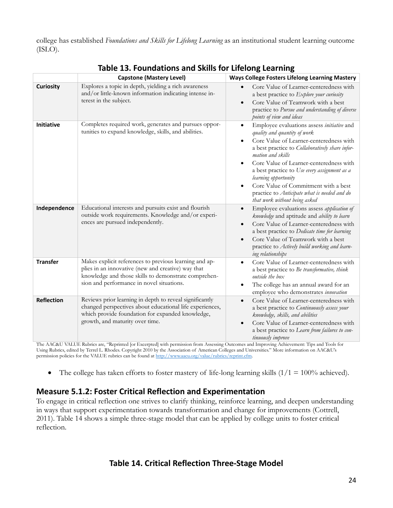college has established *Foundations and Skills for Lifelong Learning* as an institutional student learning outcome (ISLO).

|                   | <b>Capstone (Mastery Level)</b>                                                                                                                                                                                   | $3$ and skins for Enclong Ecarming<br><b>Ways College Fosters Lifelong Learning Mastery</b>                                                                                                                                                                                                                                                                                                                                                    |
|-------------------|-------------------------------------------------------------------------------------------------------------------------------------------------------------------------------------------------------------------|------------------------------------------------------------------------------------------------------------------------------------------------------------------------------------------------------------------------------------------------------------------------------------------------------------------------------------------------------------------------------------------------------------------------------------------------|
| <b>Curiosity</b>  | Explores a topic in depth, yielding a rich awareness<br>and/or little-known information indicating intense in-<br>terest in the subject.                                                                          | Core Value of Learner-centeredness with<br>a best practice to Explore your curiosity<br>Core Value of Teamwork with a best<br>practice to Pursue and understanding of diverse<br>points of view and ideas                                                                                                                                                                                                                                      |
| Initiative        | Completes required work, generates and pursues oppor-<br>tunities to expand knowledge, skills, and abilities.                                                                                                     | Employee evaluations assess initiative and<br>٠<br>quality and quantity of work<br>Core Value of Learner-centeredness with<br>a best practice to Collaboratively share infor-<br>mation and skills<br>Core Value of Learner-centeredness with<br>a best practice to Use every assignment as a<br>learning opportunity<br>Core Value of Commitment with a best<br>practice to Anticipate what is needed and do<br>that work without being asked |
| Independence      | Educational interests and pursuits exist and flourish<br>outside work requirements. Knowledge and/or experi-<br>ences are pursued independently.                                                                  | Employee evaluations assess application of<br>knowledge and aptitude and ability to learn<br>Core Value of Learner-centeredness with<br>$\bullet$<br>a best practice to Dedicate time for learning<br>Core Value of Teamwork with a best<br>$\bullet$<br>practice to Actively build working and learn-<br>ing relationships                                                                                                                    |
| <b>Transfer</b>   | Makes explicit references to previous learning and ap-<br>plies in an innovative (new and creative) way that<br>knowledge and those skills to demonstrate comprehen-<br>sion and performance in novel situations. | Core Value of Learner-centeredness with<br>a best practice to Be transformative, think<br>outside the box<br>The college has an annual award for an<br>employee who demonstrates innovation                                                                                                                                                                                                                                                    |
| <b>Reflection</b> | Reviews prior learning in depth to reveal significantly<br>changed perspectives about educational life experiences,<br>which provide foundation for expanded knowledge,<br>growth, and maturity over time.        | Core Value of Learner-centeredness with<br>$\bullet$<br>a best practice to Continuously assess your<br>knowledge, skills, and abilities<br>Core Value of Learner-centeredness with<br>$\bullet$<br>a best practice to Learn from failures to con-<br>tinuously improve                                                                                                                                                                         |

**Table 13. Foundations and Skills for Lifelong Learning**

The AAC&U VALUE Rubrics are, "Reprinted [or Excerpted] with permission from Assessing Outcomes and Improving Achievement: Tips and Tools for Using Rubrics, edited by Terrel L. Rhodes. Copyright 2010 by the Association of American Colleges and Universities." More information on AAC&U's permission policies for the VALUE rubrics can be found a[t http://www.aacu.org/value/rubrics/reprint.cfm.](http://www.aacu.org/value/rubrics/reprint.cfm)

• The college has taken efforts to foster mastery of life-long learning skills  $(1/1 = 100\%$  achieved).

### **Measure 5.1.2: Foster Critical Reflection and Experimentation**

To engage in critical reflection one strives to clarify thinking, reinforce learning, and deepen understanding in ways that support experimentation towards transformation and change for improvements (Cottrell, 2011). Table 14 shows a simple three-stage model that can be applied by college units to foster critical reflection.

### **Table 14. Critical Reflection Three-Stage Model**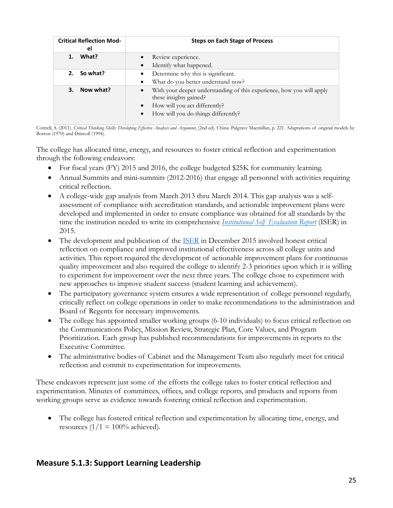| <b>Critical Reflection Mod-</b><br>el | <b>Steps on Each Stage of Process</b>                                                           |
|---------------------------------------|-------------------------------------------------------------------------------------------------|
| What?                                 | Review experience.                                                                              |
|                                       | Identify what happened.                                                                         |
| 2. So what?                           | Determine why this is significant.                                                              |
|                                       | What do you better understand now?                                                              |
| 3. Now what?                          | With your deeper understanding of this experience, how you will apply<br>these insights gained? |
|                                       | How will you act differently?                                                                   |
|                                       | How will you do things differently?                                                             |

Cottrell, S. (2011). *Critical Thinking Skills: Developing Effective Analysis and Argument*, (2nd ed). China: Palgrave Macmillan, p. 221. Adaptations of original models by Borton (1970) and Driscoll (1994).

The college has allocated time, energy, and resources to foster critical reflection and experimentation through the following endeavors:

- For fiscal years (FY) 2015 and 2016, the college budgeted \$25K for community learning.
- Annual Summits and mini-summits (2012-2016) that engage all personnel with activities requiring critical reflection.
- A college-wide gap analysis from March 2013 thru March 2014. This gap analysis was a selfassessment of compliance with accreditation standards, and actionable improvement plans were developed and implemented in order to ensure compliance was obtained for all standards by the time the institution needed to write its comprehensive *[Institutional Self Evaluation Report](http://www.comfsm.fm/accreditation/2016/Self_Evaluation/COMFSM_SELFEVAL_15DEC2015.pdf)* (ISER) in 2015.
- The development and publication of the [ISER](http://www.comfsm.fm/accreditation/2016/Self_Evaluation/COMFSM_SELFEVAL_15DEC2015.pdf) in December 2015 involved honest critical reflection on compliance and improved institutional effectiveness across all college units and activities. This report required the development of actionable improvement plans for continuous quality improvement and also required the college to identify 2-3 priorities upon which it is willing to experiment for improvement over the next three years. The college chose to experiment with new approaches to improve student success (student learning and achievement).
- The participatory governance system ensures a wide representation of college personnel regularly, critically reflect on college operations in order to make recommendations to the administration and Board of Regents for necessary improvements.
- The college has appointed smaller working groups (6-10 individuals) to focus critical reflection on the Communications Policy, Mission Review, Strategic Plan, Core Values, and Program Prioritization. Each group has published recommendations for improvements in reports to the Executive Committee.
- The administrative bodies of Cabinet and the Management Team also regularly meet for critical reflection and commit to experimentation for improvements.

These endeavors represent just some of the efforts the college takes to foster critical reflection and experimentation. Minutes of committees, offices, and college reports, and products and reports from working groups serve as evidence towards fostering critical reflection and experimentation.

• The college has fostered critical reflection and experimentation by allocating time, energy, and resources  $(1/1 = 100\%$  achieved).

### **Measure 5.1.3: Support Learning Leadership**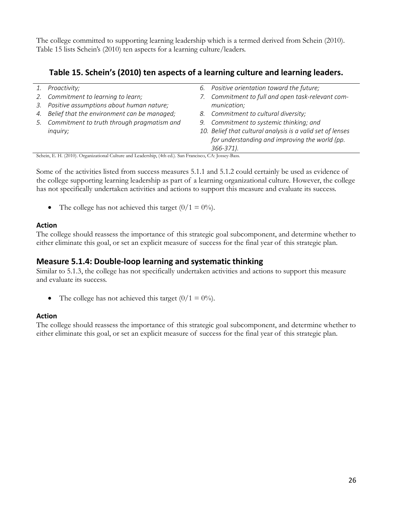The college committed to supporting learning leadership which is a termed derived from Schein (2010). Table 15 lists Schein's (2010) ten aspects for a learning culture/leaders.

### **Table 15. Schein's (2010) ten aspects of a learning culture and learning leaders.**

| 1.                   | Proactivity;                                                                                                                                             |    | 6. Positive orientation toward the future;                 |
|----------------------|----------------------------------------------------------------------------------------------------------------------------------------------------------|----|------------------------------------------------------------|
|                      | 2. Commitment to learning to learn;                                                                                                                      | 7. | Commitment to full and open task-relevant com-             |
|                      | 3. Positive assumptions about human nature;                                                                                                              |    | munication;                                                |
|                      | 4. Belief that the environment can be managed;                                                                                                           | 8. | Commitment to cultural diversity;                          |
|                      | 5. Commitment to truth through pragmatism and                                                                                                            |    | 9. Commitment to systemic thinking; and                    |
|                      | inquiry;                                                                                                                                                 |    | 10. Belief that cultural analysis is a valid set of lenses |
|                      |                                                                                                                                                          |    | for understanding and improving the world (pp.             |
|                      |                                                                                                                                                          |    | 366-371).                                                  |
| $\sim$ $\sim$ $\sim$ | $\sim$<br>$\mathbf{1}$ $\mathbf{1}$ $\mathbf{1}$ $\mathbf{1}$ $\mathbf{1}$ $\mathbf{1}$ $\mathbf{1}$ $\mathbf{1}$ $\mathbf{1}$ $\mathbf{1}$ $\mathbf{1}$ |    |                                                            |

Schein, E. H. (2010). Organizational Culture and Leadership, (4th ed.). San Francisco, CA: Jossey-Bass.

Some of the activities listed from success measures 5.1.1 and 5.1.2 could certainly be used as evidence of the college supporting learning leadership as part of a learning organizational culture. However, the college has not specifically undertaken activities and actions to support this measure and evaluate its success.

• The college has not achieved this target  $(0/1 = 0\%)$ .

#### **Action**

The college should reassess the importance of this strategic goal subcomponent, and determine whether to either eliminate this goal, or set an explicit measure of success for the final year of this strategic plan.

### **Measure 5.1.4: Double-loop learning and systematic thinking**

Similar to 5.1.3, the college has not specifically undertaken activities and actions to support this measure and evaluate its success.

• The college has not achieved this target  $(0/1 = 0\%)$ .

#### **Action**

The college should reassess the importance of this strategic goal subcomponent, and determine whether to either eliminate this goal, or set an explicit measure of success for the final year of this strategic plan.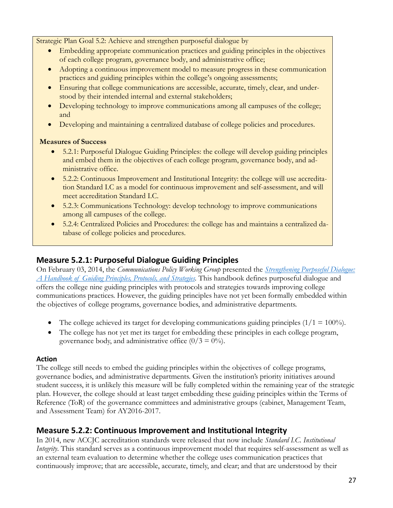Strategic Plan Goal 5.2: Achieve and strengthen purposeful dialogue by

- Embedding appropriate communication practices and guiding principles in the objectives of each college program, governance body, and administrative office;
- Adopting a continuous improvement model to measure progress in these communication practices and guiding principles within the college's ongoing assessments;
- Ensuring that college communications are accessible, accurate, timely, clear, and understood by their intended internal and external stakeholders;
- Developing technology to improve communications among all campuses of the college; and
- Developing and maintaining a centralized database of college policies and procedures.

#### **Measures of Success**

- 5.2.1: Purposeful Dialogue Guiding Principles: the college will develop guiding principles and embed them in the objectives of each college program, governance body, and administrative office.
- 5.2.2: Continuous Improvement and Institutional Integrity: the college will use accreditation Standard I.C as a model for continuous improvement and self-assessment, and will meet accreditation Standard I.C.
- 5.2.3: Communications Technology: develop technology to improve communications among all campuses of the college.
- 5.2.4: Centralized Policies and Procedures: the college has and maintains a centralized database of college policies and procedures.

### **Measure 5.2.1: Purposeful Dialogue Guiding Principles**

On February 03, 2014, the *Communications Policy Working Group* presented the *[Strengthening Purposeful Dialogue:](http://www.comfsm.fm/publications/handbook/Strengthening-Purposeful-Dialogue.pdf)  [A Handbook of Guiding Principles, Protocols, and Strategies.](http://www.comfsm.fm/publications/handbook/Strengthening-Purposeful-Dialogue.pdf)* This handbook defines purposeful dialogue and offers the college nine guiding principles with protocols and strategies towards improving college communications practices. However, the guiding principles have not yet been formally embedded within the objectives of college programs, governance bodies, and administrative departments.

- The college achieved its target for developing communications guiding principles  $(1/1 = 100\%)$ .
- The college has not yet met its target for embedding these principles in each college program, governance body, and administrative office  $(0/3 = 0\%)$ .

#### **Action**

The college still needs to embed the guiding principles within the objectives of college programs, governance bodies, and administrative departments. Given the institution's priority initiatives around student success, it is unlikely this measure will be fully completed within the remaining year of the strategic plan. However, the college should at least target embedding these guiding principles within the Terms of Reference (ToR) of the governance committees and administrative groups (cabinet, Management Team, and Assessment Team) for AY2016-2017.

### **Measure 5.2.2: Continuous Improvement and Institutional Integrity**

In 2014, new ACCJC accreditation standards were released that now include *Standard I.C. Institutional Integrity*. This standard serves as a continuous improvement model that requires self-assessment as well as an external team evaluation to determine whether the college uses communication practices that continuously improve; that are accessible, accurate, timely, and clear; and that are understood by their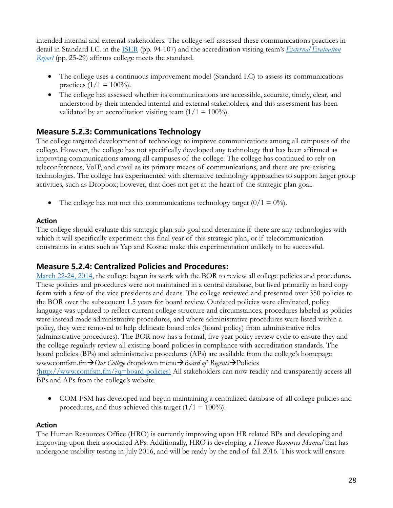intended internal and external stakeholders. The college self-assessed these communications practices in detail in Standard I.C. in the [ISER](http://www.comfsm.fm/accreditation/2016/Self_Evaluation/COMFSM_SELFEVAL_15DEC2015.pdf) (pp. 94-107) and the accreditation visiting team's *[External Evaluation](http://www.comfsm.fm/accreditation/2016/Self_Evaluation/COMFSM_External_Eval_Report_2016.pdf)  [Report](http://www.comfsm.fm/accreditation/2016/Self_Evaluation/COMFSM_External_Eval_Report_2016.pdf)* (pp. 25-29) affirms college meets the standard.

- The college uses a continuous improvement model (Standard I.C) to assess its communications practices  $(1/1 = 100\%)$ .
- The college has assessed whether its communications are accessible, accurate, timely, clear, and understood by their intended internal and external stakeholders, and this assessment has been validated by an accreditation visiting team  $(1/1 = 100\%)$ .

### **Measure 5.2.3: Communications Technology**

The college targeted development of technology to improve communications among all campuses of the college. However, the college has not specifically developed any technology that has been affirmed as improving communications among all campuses of the college. The college has continued to rely on teleconferences, VoIP, and email as its primary means of communications, and there are pre-existing technologies. The college has experimented with alternative technology approaches to support larger group activities, such as Dropbox; however, that does not get at the heart of the strategic plan goal.

• The college has not met this communications technology target  $(0/1 = 0\%)$ .

#### **Action**

The college should evaluate this strategic plan sub-goal and determine if there are any technologies with which it will specifically experiment this final year of this strategic plan, or if telecommunication constraints in states such as Yap and Kosrae make this experimentation unlikely to be successful.

### **Measure 5.2.4: Centralized Policies and Procedures:**

[March 22-24, 2014,](http://www.comfsm.fm/?q=bor-agenda-03-2014) the college began its work with the BOR to review all college policies and procedures. These policies and procedures were not maintained in a central database, but lived primarily in hard copy form with a few of the vice presidents and deans. The college reviewed and presented over 350 policies to the BOR over the subsequent 1.5 years for board review. Outdated policies were eliminated, policy language was updated to reflect current college structure and circumstances, procedures labeled as policies were instead made administrative procedures, and where administrative procedures were listed within a policy, they were removed to help delineate board roles (board policy) from administrative roles (administrative procedures). The BOR now has a formal, five-year policy review cycle to ensure they and the college regularly review all existing board policies in compliance with accreditation standards. The board policies (BPs) and administrative procedures (APs) are available from the college's homepage www.comfsm.fm*Our College* dropdown menu*Board of Regents*Policies [\(http://www.comfsm.fm/?q=board-policies\)](http://www.comfsm.fm/?q=board-policies)) All stakeholders can now readily and transparently access all BPs and APs from the college's website.

• COM-FSM has developed and begun maintaining a centralized database of all college policies and procedures, and thus achieved this target  $(1/1 = 100\%)$ .

#### **Action**

The Human Resources Office (HRO) is currently improving upon HR related BPs and developing and improving upon their associated APs. Additionally, HRO is developing a *Human Resources Manual* that has undergone usability testing in July 2016, and will be ready by the end of fall 2016. This work will ensure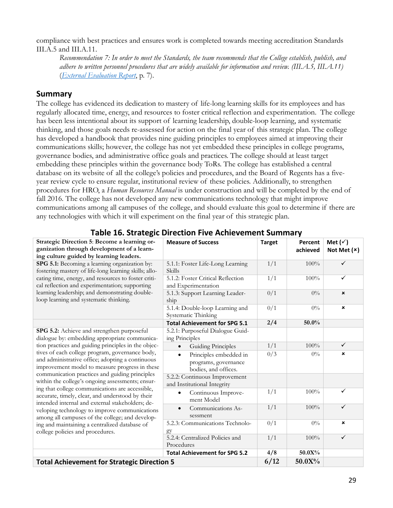compliance with best practices and ensures work is completed towards meeting accreditation Standards III.A.5 and III.A.11.

*Recommendation 7: In order to meet the Standards, the team recommends that the College establish, publish, and adhere to written personnel procedures that are widely available for information and review. (III.A.5, III.A.11)* (*[External Evaluation Report](http://www.comfsm.fm/accreditation/2016/Self_Evaluation/COMFSM_External_Eval_Report_2016.pdf)*, p. 7).

### **Summary**

The college has evidenced its dedication to mastery of life-long learning skills for its employees and has regularly allocated time, energy, and resources to foster critical reflection and experimentation. The college has been less intentional about its support of learning leadership, double-loop learning, and systematic thinking, and those goals needs re-assessed for action on the final year of this strategic plan. The college has developed a handbook that provides nine guiding principles to employees aimed at improving their communications skills; however, the college has not yet embedded these principles in college programs, governance bodies, and administrative office goals and practices. The college should at least target embedding these principles within the governance body ToRs. The college has established a central database on its website of all the college's policies and procedures, and the Board of Regents has a fiveyear review cycle to ensure regular, institutional review of these policies. Additionally, to strengthen procedures for HRO, a *Human Resources Manual* is under construction and will be completed by the end of fall 2016. The college has not developed any new communications technology that might improve communications among all campuses of the college, and should evaluate this goal to determine if there are any technologies with which it will experiment on the final year of this strategic plan.

| "" -"" """""                                                                                                                                                                                                                                             |                                                                                     |               |                     |                                    |
|----------------------------------------------------------------------------------------------------------------------------------------------------------------------------------------------------------------------------------------------------------|-------------------------------------------------------------------------------------|---------------|---------------------|------------------------------------|
| Strategic Direction 5: Become a learning or-<br>ganization through development of a learn-<br>ing culture guided by learning leaders.                                                                                                                    | <b>Measure of Success</b>                                                           | <b>Target</b> | Percent<br>achieved | Met $(\check{v})$<br>Not Met $(x)$ |
| SPG 5.1: Becoming a learning organization by:<br>fostering mastery of life-long learning skills; allo-                                                                                                                                                   | 5.1.1: Foster Life-Long Learning<br>Skills                                          | 1/1           | 100%                | $\checkmark$                       |
| cating time, energy, and resources to foster criti-<br>cal reflection and experimentation; supporting                                                                                                                                                    | 5.1.2: Foster Critical Reflection<br>and Experimentation                            | 1/1           | 100%                | $\checkmark$                       |
| learning leadership; and demonstrating double-<br>loop learning and systematic thinking.                                                                                                                                                                 | 5.1.3: Support Learning Leader-<br>ship                                             | 0/1           | $0\%$               | $\pmb{\times}$                     |
|                                                                                                                                                                                                                                                          | 5.1.4: Double-loop Learning and<br>Systematic Thinking                              | 0/1           | $0\%$               | $\pmb{\times}$                     |
|                                                                                                                                                                                                                                                          | <b>Total Achievement for SPG 5.1</b>                                                | 2/4           | 50.0%               |                                    |
| SPG 5.2: Achieve and strengthen purposeful                                                                                                                                                                                                               | 5.2.1: Purposeful Dialogue Guid-<br>ing Principles                                  |               |                     |                                    |
| tion practices and guiding principles in the objec-                                                                                                                                                                                                      | <b>Guiding Principles</b>                                                           | 1/1           | 100%                | $\checkmark$                       |
| dialogue by: embedding appropriate communica-<br>tives of each college program, governance body,<br>and administrative office; adopting a continuous<br>improvement model to measure progress in these<br>communication practices and guiding principles | Principles embedded in<br>$\bullet$<br>programs, governance<br>bodies, and offices. | 0/3           | $0\%$               | ×                                  |
| within the college's ongoing assessments; ensur-                                                                                                                                                                                                         | 5.2.2: Continuous Improvement<br>and Institutional Integrity                        |               |                     |                                    |
| ing that college communications are accessible,<br>accurate, timely, clear, and understood by their<br>intended internal and external stakeholders; de-                                                                                                  | Continuous Improve-<br>ment Model                                                   | 1/1           | 100%                | $\checkmark$                       |
| veloping technology to improve communications<br>among all campuses of the college; and develop-                                                                                                                                                         | Communications As-<br>sessment                                                      | 1/1           | 100%                | $\checkmark$                       |
| ing and maintaining a centralized database of<br>college policies and procedures.                                                                                                                                                                        | 5.2.3: Communications Technolo-<br>gy                                               | 0/1           | $0\%$               | $\pmb{\times}$                     |
|                                                                                                                                                                                                                                                          | 5.2.4: Centralized Policies and<br>Procedures                                       | 1/1           | 100%                | $\checkmark$                       |
|                                                                                                                                                                                                                                                          | <b>Total Achievement for SPG 5.2</b>                                                | 4/8           | 50.0X%              |                                    |
| <b>Total Achievement for Strategic Direction 5</b>                                                                                                                                                                                                       |                                                                                     | 6/12          | 50.0X%              |                                    |

### **Table 16. Strategic Direction Five Achievement Summary**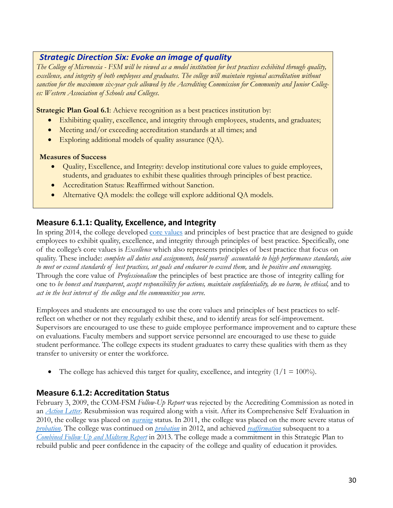### *Strategic Direction Six: Evoke an image of quality*

*The College of Micronesia - FSM will be viewed as a model institution for best practices exhibited through quality, excellence, and integrity of both employees and graduates. The college will maintain regional accreditation without sanction for the maximum six-year cycle allowed by the Accrediting Commission for Community and Junior Colleges: Western Association of Schools and Colleges*.

**Strategic Plan Goal 6.1**: Achieve recognition as a best practices institution by:

- Exhibiting quality, excellence, and integrity through employees, students, and graduates;
- Meeting and/or exceeding accreditation standards at all times; and
- Exploring additional models of quality assurance (QA).

#### **Measures of Success**

- Quality, Excellence, and Integrity: develop institutional core values to guide employees, students, and graduates to exhibit these qualities through principles of best practice.
- Accreditation Status: Reaffirmed without Sanction.
- Alternative QA models: the college will explore additional QA models.

### **Measure 6.1.1: Quality, Excellence, and Integrity**

In spring 2014, the college developed [core values](http://www.comfsm.fm/dcr/misc/Core_Values.pdf) and principles of best practice that are designed to guide employees to exhibit quality, excellence, and integrity through principles of best practice. Specifically, one of the college's core values is *Excellence* which also represents principles of best practice that focus on quality. These include: *complete all duties and assignments, hold yourself accountable to high performance standards, aim to meet or exceed standards of best practices, set goals and endeavor to exceed them,* and *be positive and encouraging.* Through the core value of *Professionalism* the principles of best practice are those of integrity calling for one to *be honest and transparent*, *accept responsibility for actions, maintain confidentiality, do no harm, be ethical,* and to *act in the best interest of the college and the communities you serve.*

Employees and students are encouraged to use the core values and principles of best practices to selfreflect on whether or not they regularly exhibit these, and to identify areas for self-improvement. Supervisors are encouraged to use these to guide employee performance improvement and to capture these on evaluations. Faculty members and support service personnel are encouraged to use these to guide student performance. The college expects its student graduates to carry these qualities with them as they transfer to university or enter the workforce.

• The college has achieved this target for quality, excellence, and integrity  $(1/1 = 100\%)$ .

### **Measure 6.1.2: Accreditation Status**

February 3, 2009, the COM-FSM *Follow-Up Report* was rejected by the Accrediting Commission as noted in an *[Action Letter](http://www.comfsm.fm/accreditation/COMFSM/February%203,%202009%20Action%20Letter.pdf)*. Resubmission was required along with a visit. After its Comprehensive Self Evaluation in 2010, the college was placed on *[warning](http://www.comfsm.fm/accreditation/COMFSM/ActionLetter.pdf)* status. In 2011, the college was placed on the more severe status of *[probation](http://www.comfsm.fm/accreditation/COMFSM/Action%20Letter%20June%2030%202011.pdf)*. The college was continued on *[probation](http://www.comfsm.fm/accreditation/files/7-4/College-of-Micronesia-FSM-July-2-2012.pdf)* in 2012, and achieved *[reaffirmation](http://www.comfsm.fm/accreditation/2013/results/07_03_2013_College-of-Micronesia-FSM.pdf)* subsequent to a *[Combined Follow Up and Midterm Report](http://www.comfsm.fm/accreditation/2013/midterm-report/MidTerm_and_Follow_Up_Report_2013_Final.pdf)* in 2013. The college made a commitment in this Strategic Plan to rebuild public and peer confidence in the capacity of the college and quality of education it provides.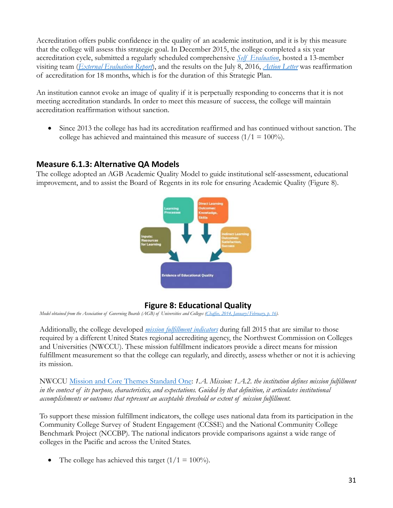Accreditation offers public confidence in the quality of an academic institution, and it is by this measure that the college will assess this strategic goal. In December 2015, the college completed a six year accreditation cycle, submitted a regularly scheduled comprehensive *[Self Evaluation](http://www.comfsm.fm/accreditation/2016/Self_Evaluation/COMFSM_SELFEVAL_15DEC2015.pdf)*, hosted a 13-member visiting team (*[External Evaluation Report](http://www.comfsm.fm/accreditation/2016/Self_Evaluation/COMFSM_External_Eval_Report_2016.pdf)*), and the results on the July 8, 2016, *[Action Letter](http://www.comfsm.fm/accreditation/2016/Self_Evaluation/Action_Letter_08JULY2016.pdf)* was reaffirmation of accreditation for 18 months, which is for the duration of this Strategic Plan.

An institution cannot evoke an image of quality if it is perpetually responding to concerns that it is not meeting accreditation standards. In order to meet this measure of success, the college will maintain accreditation reaffirmation without sanction.

• Since 2013 the college has had its accreditation reaffirmed and has continued without sanction. The college has achieved and maintained this measure of success  $(1/1 = 100\%)$ .

### **Measure 6.1.3: Alternative QA Models**

The college adopted an AGB Academic Quality Model to guide institutional self-assessment, educational improvement, and to assist the Board of Regents in its role for ensuring Academic Quality (Figure 8).



### **Figure 8: Educational Quality**

*Model obtained from the Association of Governing Boards (AGB) of Universities and Colleges [\(Chaffee, 2014, January/February, p. 16\).](http://agb.org/trusteeship/2014/1/learning-metrics-how-can-we-know-students-know-what-they-are-supposed-know)*

Additionally, the college developed *[mission fulfillment indicators](http://www.comfsm.fm/bor/notebook/05-16/10.a%20%20COM-FSM%20Mission%20Indicators_04May2016.pdf.pdf)* during fall 2015 that are similar to those required by a different United States regional accrediting agency, the Northwest Commission on Colleges and Universities (NWCCU). These mission fulfillment indicators provide a direct means for mission fulfillment measurement so that the college can regularly, and directly, assess whether or not it is achieving its mission.

NWCCU [Mission and Core Themes Standard One:](http://www.nwccu.org/Standards%20and%20Policies/Standard%201/Standard%20One.htm) *1.A. Mission: 1.A.2. the institution defines mission fulfillment in the context of its purpose, characteristics, and expectations. Guided by that definition, it articulates institutional accomplishments or outcomes that represent an acceptable threshold or extent of mission fulfillment.*

To support these mission fulfillment indicators, the college uses national data from its participation in the Community College Survey of Student Engagement (CCSSE) and the National Community College Benchmark Project (NCCBP). The national indicators provide comparisons against a wide range of colleges in the Pacific and across the United States.

• The college has achieved this target  $(1/1 = 100\%)$ .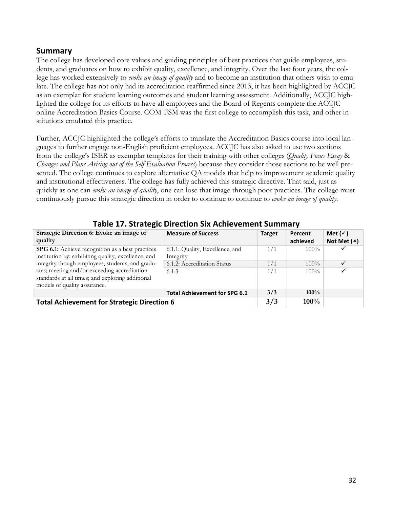### **Summary**

The college has developed core values and guiding principles of best practices that guide employees, students, and graduates on how to exhibit quality, excellence, and integrity. Over the last four years, the college has worked extensively to *evoke an image of quality* and to become an institution that others wish to emulate. The college has not only had its accreditation reaffirmed since 2013, it has been highlighted by ACCJC as an exemplar for student learning outcomes and student learning assessment. Additionally, ACCJC highlighted the college for its efforts to have all employees and the Board of Regents complete the ACCJC online Accreditation Basics Course. COM-FSM was the first college to accomplish this task, and other institutions emulated this practice.

Further, ACCJC highlighted the college's efforts to translate the Accreditation Basics course into local languages to further engage non-English proficient employees. ACCJC has also asked to use two sections from the college's ISER as exemplar templates for their training with other colleges (*Quality Focus Essay* & *Changes and Plans Arising out of the Self Evaluation Process*) because they consider those sections to be well presented. The college continues to explore alternative QA models that help to improvement academic quality and institutional effectiveness. The college has fully achieved this strategic directive. That said, just as quickly as one can *evoke an image of quality*, one can lose that image through poor practices. The college must continuously pursue this strategic direction in order to continue to continue to *evoke an image of quality*.

|                                                     | <u>rapic III strategic Direction Six Atmetement Sammary</u> |               |          |                    |  |
|-----------------------------------------------------|-------------------------------------------------------------|---------------|----------|--------------------|--|
| Strategic Direction 6: Evoke an image of            | <b>Measure of Success</b>                                   | <b>Target</b> | Percent  | Met $(\checkmark)$ |  |
| quality                                             |                                                             |               | achieved | Not Met $(x)$      |  |
| SPG 6.1: Achieve recognition as a best practices    | 6.1.1: Quality, Excellence, and                             | 1/1           | $100\%$  |                    |  |
| institution by: exhibiting quality, excellence, and | Integrity                                                   |               |          |                    |  |
| integrity though employees, students, and gradu-    | 6.1.2: Accreditation Status                                 | 1/1           | $100\%$  |                    |  |
| ates; meeting and/or exceeding accreditation        | 6.1.3:                                                      | 1/1           | $100\%$  | ✓                  |  |
| standards at all times; and exploring additional    |                                                             |               |          |                    |  |
| models of quality assurance.                        |                                                             |               |          |                    |  |
|                                                     | <b>Total Achievement for SPG 6.1</b>                        | 3/3           | $100\%$  |                    |  |
| <b>Total Achievement for Strategic Direction 6</b>  |                                                             | 3/3           | $100\%$  |                    |  |

### **Table 17. Strategic Direction Six Achievement Summary**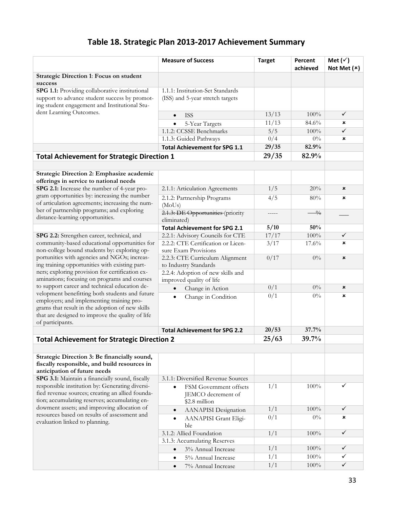# **Table 18. Strategic Plan 2013-2017 Achievement Summary**

|                                                                                                                                                                                                                        | <b>Measure of Success</b>                                     | <b>Target</b>    | Percent<br>achieved | Met $(\check{v})$<br>Not Met $(x)$ |
|------------------------------------------------------------------------------------------------------------------------------------------------------------------------------------------------------------------------|---------------------------------------------------------------|------------------|---------------------|------------------------------------|
| <b>Strategic Direction 1: Focus on student</b>                                                                                                                                                                         |                                                               |                  |                     |                                    |
| success                                                                                                                                                                                                                |                                                               |                  |                     |                                    |
| SPG 1.1: Providing collaborative institutional                                                                                                                                                                         | 1.1.1: Institution-Set Standards                              |                  |                     |                                    |
| support to advance student success by promot-<br>ing student engagement and Institutional Stu-                                                                                                                         | (ISS) and 5-year stretch targets                              |                  |                     |                                    |
| dent Learning Outcomes.                                                                                                                                                                                                | <b>ISS</b><br>$\bullet$                                       | 13/13            | 100%                | $\checkmark$                       |
|                                                                                                                                                                                                                        | 5-Year Targets                                                | 11/13            | 84.6%               | ×                                  |
|                                                                                                                                                                                                                        | 1.1.2: CCSSE Benchmarks                                       | 5/5              | $100\%$             | ✓                                  |
|                                                                                                                                                                                                                        | 1.1.3: Guided Pathways                                        | 0/4              | $0\%$               | ×                                  |
|                                                                                                                                                                                                                        | <b>Total Achievement for SPG 1.1</b>                          | 29/35            | 82.9%               |                                    |
| <b>Total Achievement for Strategic Direction 1</b>                                                                                                                                                                     |                                                               | 29/35            | 82.9%               |                                    |
|                                                                                                                                                                                                                        |                                                               |                  |                     |                                    |
|                                                                                                                                                                                                                        |                                                               |                  |                     |                                    |
| Strategic Direction 2: Emphasize academic                                                                                                                                                                              |                                                               |                  |                     |                                    |
| offerings in service to national needs                                                                                                                                                                                 |                                                               |                  |                     |                                    |
| SPG 2.1: Increase the number of 4-year pro-                                                                                                                                                                            | 2.1.1: Articulation Agreements                                | 1/5              | 20%                 | ×                                  |
| gram opportunities by: increasing the number<br>of articulation agreements; increasing the num-                                                                                                                        | 2.1.2: Partnership Programs<br>(MoUs)                         | 4/5              | 80%                 | ×                                  |
| ber of partnership programs; and exploring<br>distance-learning opportunities.                                                                                                                                         | 2.1.3: DE Opportunities (priority<br>eliminated)              | -----            | $\frac{0}{0}$       |                                    |
|                                                                                                                                                                                                                        | <b>Total Achievement for SPG 2.1</b>                          | 5/10             | 50%                 |                                    |
| SPG 2.2: Strengthen career, technical, and                                                                                                                                                                             | 2.2.1: Advisory Councils for CTE                              | 17/17            | $100\%$             | ✓                                  |
| community-based educational opportunities for                                                                                                                                                                          | 2.2.2: CTE Certification or Licen-                            | 3/17             | 17.6%               | ×                                  |
| non-college bound students by: exploring op-                                                                                                                                                                           | sure Exam Provisions                                          |                  |                     |                                    |
| portunities with agencies and NGOs; increas-                                                                                                                                                                           | 2.2.3: CTE Curriculum Alignment                               | 0/17             | $0\%$               | ×                                  |
| ing training opportunities with existing part-                                                                                                                                                                         | to Industry Standards                                         |                  |                     |                                    |
| ners; exploring provision for certification ex-                                                                                                                                                                        | 2.2.4: Adoption of new skills and                             |                  |                     |                                    |
| aminations; focusing on programs and courses                                                                                                                                                                           | improved quality of life                                      |                  |                     |                                    |
| to support career and technical education de-                                                                                                                                                                          | Change in Action                                              | 0/1              | $0\%$               | ×                                  |
| velopment benefitting both students and future<br>employers; and implementing training pro-<br>grams that result in the adoption of new skills<br>that are designed to improve the quality of life<br>of participants. | Change in Condition<br>$\bullet$                              | 0/1              | $0\%$               | ×                                  |
|                                                                                                                                                                                                                        | <b>Total Achievement for SPG 2.2</b>                          | 20/53            | 37.7%               |                                    |
| <b>Total Achievement for Strategic Direction 2</b>                                                                                                                                                                     |                                                               | 25/63            | 39.7%               |                                    |
|                                                                                                                                                                                                                        |                                                               |                  |                     |                                    |
| Strategic Direction 3: Be financially sound,<br>fiscally responsible, and build resources in<br>anticipation of future needs                                                                                           |                                                               |                  |                     |                                    |
| SPG 3.1: Maintain a financially sound, fiscally                                                                                                                                                                        | 3.1.1: Diversified Revenue Sources                            |                  |                     |                                    |
| responsible institution by: Generating diversi-<br>fied revenue sources; creating an allied founda-<br>tion; accumulating reserves; accumulating en-                                                                   | FSM Government offsets<br>JEMCO decrement of<br>\$2.8 million | 1/1              | 100%                | $\checkmark$                       |
| dowment assets; and improving allocation of                                                                                                                                                                            | <b>AANAPISI</b> Designation                                   | 1/1              | 100%                | ✓                                  |
| resources based on results of assessment and<br>evaluation linked to planning.                                                                                                                                         | AANAPISI Grant Eligi-<br>$\bullet$<br>ble                     | $\overline{0/1}$ | $0\%$               | ×                                  |
|                                                                                                                                                                                                                        | 3.1.2: Allied Foundation                                      | 1/1              | 100%                | ✓                                  |
|                                                                                                                                                                                                                        | 3.1.3: Accumulating Reserves                                  |                  |                     |                                    |
|                                                                                                                                                                                                                        | 3% Annual Increase<br>$\bullet$                               | 1/1              | 100%                | ✓                                  |
|                                                                                                                                                                                                                        | 5% Annual Increase<br>$\bullet$                               | 1/1              | 100%                | ✓                                  |
|                                                                                                                                                                                                                        | 7% Annual Increase<br>$\bullet$                               | 1/1              | 100%                | $\checkmark$                       |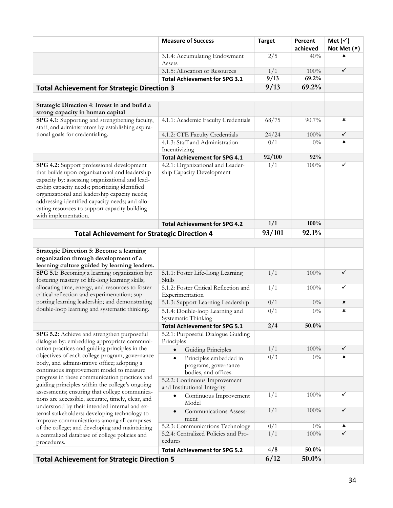|                                                                                                                                                                                                                                                                                                                                                                               | <b>Measure of Success</b>                                              | <b>Target</b>    | Percent<br>achieved | Met $(\check{v})$<br>Not Met $(x)$ |
|-------------------------------------------------------------------------------------------------------------------------------------------------------------------------------------------------------------------------------------------------------------------------------------------------------------------------------------------------------------------------------|------------------------------------------------------------------------|------------------|---------------------|------------------------------------|
|                                                                                                                                                                                                                                                                                                                                                                               | 3.1.4: Accumulating Endowment<br>Assets                                | 2/5              | 40%                 | ×                                  |
|                                                                                                                                                                                                                                                                                                                                                                               | 3.1.5: Allocation or Resources                                         | 1/1              | $100\%$             | $\checkmark$                       |
|                                                                                                                                                                                                                                                                                                                                                                               | <b>Total Achievement for SPG 3.1</b>                                   | 9/13             | 69.2%               |                                    |
| <b>Total Achievement for Strategic Direction 3</b>                                                                                                                                                                                                                                                                                                                            |                                                                        | 9/13             | 69.2%               |                                    |
|                                                                                                                                                                                                                                                                                                                                                                               |                                                                        |                  |                     |                                    |
| Strategic Direction 4: Invest in and build a<br>strong capacity in human capital                                                                                                                                                                                                                                                                                              |                                                                        |                  |                     |                                    |
| SPG 4.1: Supporting and strengthening faculty,<br>staff, and administrators by establishing aspira-                                                                                                                                                                                                                                                                           | 4.1.1: Academic Faculty Credentials                                    | 68/75            | $90.7\%$            | ×                                  |
| tional goals for credentialing.                                                                                                                                                                                                                                                                                                                                               | 4.1.2: CTE Faculty Credentials                                         | 24/24            | $100\%$             | $\checkmark$                       |
|                                                                                                                                                                                                                                                                                                                                                                               | 4.1.3: Staff and Administration<br>Incentivizing                       | 0/1              | $0\%$               | ×                                  |
|                                                                                                                                                                                                                                                                                                                                                                               | <b>Total Achievement for SPG 4.1</b>                                   | 92/100           | 92%                 |                                    |
| SPG 4.2: Support professional development<br>that builds upon organizational and leadership<br>capacity by: assessing organizational and lead-<br>ership capacity needs; prioritizing identified<br>organizational and leadership capacity needs;<br>addressing identified capacity needs; and allo-<br>cating resources to support capacity building<br>with implementation. | 4.2.1: Organizational and Leader-<br>ship Capacity Development         | 1/1              | 100%                | ✓                                  |
|                                                                                                                                                                                                                                                                                                                                                                               | <b>Total Achievement for SPG 4.2</b>                                   | 1/1              | 100%                |                                    |
| <b>Total Achievement for Strategic Direction 4</b>                                                                                                                                                                                                                                                                                                                            |                                                                        | 93/101           | 92.1%               |                                    |
|                                                                                                                                                                                                                                                                                                                                                                               |                                                                        |                  |                     |                                    |
| <b>Strategic Direction 5: Become a learning</b><br>organization through development of a<br>learning culture guided by learning leaders.                                                                                                                                                                                                                                      |                                                                        |                  |                     |                                    |
| SPG 5.1: Becoming a learning organization by:<br>fostering mastery of life-long learning skills;                                                                                                                                                                                                                                                                              | 5.1.1: Foster Life-Long Learning<br>Skills                             | 1/1              | 100%                | $\checkmark$                       |
| allocating time, energy, and resources to foster<br>critical reflection and experimentation; sup-                                                                                                                                                                                                                                                                             | 5.1.2: Foster Critical Reflection and<br>Experimentation               | $\frac{1}{1}$    | 100%                | ✓                                  |
| porting learning leadership; and demonstrating                                                                                                                                                                                                                                                                                                                                | 5.1.3: Support Learning Leadership                                     | 0/1              | $0\%$               | ×                                  |
| double-loop learning and systematic thinking.                                                                                                                                                                                                                                                                                                                                 | 5.1.4: Double-loop Learning and<br>Systematic Thinking                 | 0/1              | $0\%$               | ×                                  |
|                                                                                                                                                                                                                                                                                                                                                                               | <b>Total Achievement for SPG 5.1</b>                                   | 2/4              | $50.0\%$            |                                    |
| SPG 5.2: Achieve and strengthen purposeful<br>dialogue by: embedding appropriate communi-                                                                                                                                                                                                                                                                                     | 5.2.1: Purposeful Dialogue Guiding<br>Principles                       |                  |                     |                                    |
| cation practices and guiding principles in the                                                                                                                                                                                                                                                                                                                                | <b>Guiding Principles</b>                                              | 1/1              | 100%                | ✓                                  |
| objectives of each college program, governance<br>body, and administrative office; adopting a<br>continuous improvement model to measure<br>progress in these communication practices and                                                                                                                                                                                     | Principles embedded in<br>programs, governance<br>bodies, and offices. | $\overline{0/3}$ | $0\%$               | ×                                  |
| guiding principles within the college's ongoing<br>assessments; ensuring that college communica-                                                                                                                                                                                                                                                                              | 5.2.2: Continuous Improvement<br>and Institutional Integrity           |                  |                     |                                    |
| tions are accessible, accurate, timely, clear, and                                                                                                                                                                                                                                                                                                                            | Continuous Improvement<br>Model                                        | 1/1              | 100%                | ✓                                  |
| understood by their intended internal and ex-<br>ternal stakeholders; developing technology to<br>improve communications among all campuses                                                                                                                                                                                                                                   | Communications Assess-<br>ment                                         | 1/1              | 100%                | $\checkmark$                       |
| of the college; and developing and maintaining                                                                                                                                                                                                                                                                                                                                | 5.2.3: Communications Technology                                       | 0/1              | $0\%$               | ×                                  |
| a centralized database of college policies and<br>procedures.                                                                                                                                                                                                                                                                                                                 | 5.2.4: Centralized Policies and Pro-<br>cedures                        | 1/1              | $100\%$             | $\overline{\checkmark}$            |
|                                                                                                                                                                                                                                                                                                                                                                               | <b>Total Achievement for SPG 5.2</b>                                   | 4/8              | 50.0%               |                                    |
| <b>Total Achievement for Strategic Direction 5</b>                                                                                                                                                                                                                                                                                                                            |                                                                        | 6/12             | 50.0%               |                                    |